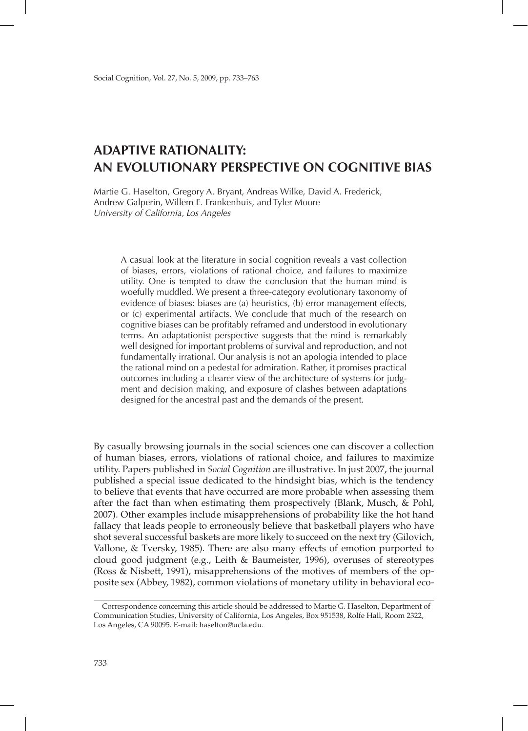# **Adaptive Rationality: An Evolutionary Perspective on Cognitive Bias**

Martie G. Haselton, Gregory A. Bryant, Andreas Wilke, David A. Frederick, Andrew Galperin, Willem E. Frankenhuis, and Tyler Moore *University of California, Los Angeles*

A casual look at the literature in social cognition reveals a vast collection of biases, errors, violations of rational choice, and failures to maximize utility. One is tempted to draw the conclusion that the human mind is woefully muddled. We present a three-category evolutionary taxonomy of evidence of biases: biases are (a) heuristics, (b) error management effects, or (c) experimental artifacts. We conclude that much of the research on cognitive biases can be profitably reframed and understood in evolutionary terms. An adaptationist perspective suggests that the mind is remarkably well designed for important problems of survival and reproduction, and not fundamentally irrational. Our analysis is not an apologia intended to place the rational mind on a pedestal for admiration. Rather, it promises practical outcomes including a clearer view of the architecture of systems for judgment and decision making, and exposure of clashes between adaptations designed for the ancestral past and the demands of the present.

By casually browsing journals in the social sciences one can discover a collection of human biases, errors, violations of rational choice, and failures to maximize utility. Papers published in *Social Cognition* are illustrative. In just 2007, the journal published a special issue dedicated to the hindsight bias, which is the tendency to believe that events that have occurred are more probable when assessing them after the fact than when estimating them prospectively (Blank, Musch, & Pohl, 2007). Other examples include misapprehensions of probability like the hot hand fallacy that leads people to erroneously believe that basketball players who have shot several successful baskets are more likely to succeed on the next try (Gilovich, Vallone, & Tversky, 1985). There are also many effects of emotion purported to cloud good judgment (e.g., Leith & Baumeister, 1996), overuses of stereotypes (Ross & Nisbett, 1991), misapprehensions of the motives of members of the opposite sex (Abbey, 1982), common violations of monetary utility in behavioral eco-

Correspondence concerning this article should be addressed to Martie G. Haselton, Department of Communication Studies, University of California, Los Angeles, Box 951538, Rolfe Hall, Room 2322, Los Angeles, CA 90095. E-mail: haselton@ucla.edu.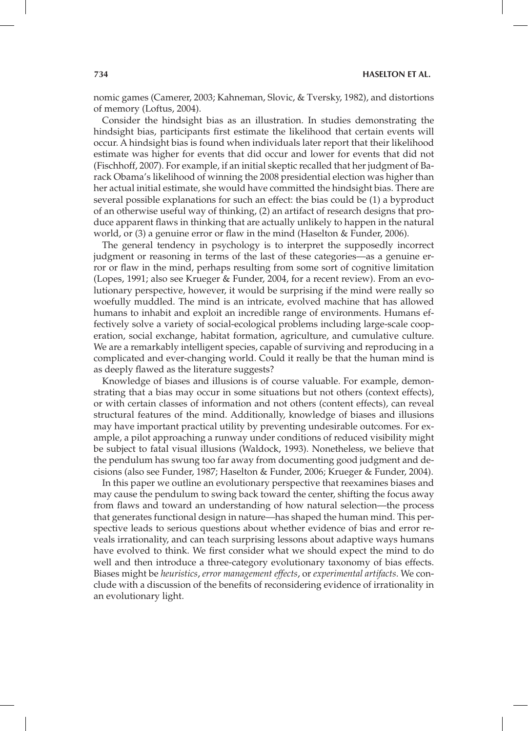nomic games (Camerer, 2003; Kahneman, Slovic, & Tversky, 1982), and distortions of memory (Loftus, 2004).

Consider the hindsight bias as an illustration. In studies demonstrating the hindsight bias, participants first estimate the likelihood that certain events will occur. A hindsight bias is found when individuals later report that their likelihood estimate was higher for events that did occur and lower for events that did not (Fischhoff, 2007). For example, if an initial skeptic recalled that her judgment of Barack Obama's likelihood of winning the 2008 presidential election was higher than her actual initial estimate, she would have committed the hindsight bias. There are several possible explanations for such an effect: the bias could be (1) a byproduct of an otherwise useful way of thinking, (2) an artifact of research designs that produce apparent flaws in thinking that are actually unlikely to happen in the natural world, or (3) a genuine error or flaw in the mind (Haselton & Funder, 2006).

The general tendency in psychology is to interpret the supposedly incorrect judgment or reasoning in terms of the last of these categories—as a genuine error or flaw in the mind, perhaps resulting from some sort of cognitive limitation (Lopes, 1991; also see Krueger & Funder, 2004, for a recent review). From an evolutionary perspective, however, it would be surprising if the mind were really so woefully muddled. The mind is an intricate, evolved machine that has allowed humans to inhabit and exploit an incredible range of environments. Humans effectively solve a variety of social-ecological problems including large-scale cooperation, social exchange, habitat formation, agriculture, and cumulative culture. We are a remarkably intelligent species, capable of surviving and reproducing in a complicated and ever-changing world. Could it really be that the human mind is as deeply flawed as the literature suggests?

Knowledge of biases and illusions is of course valuable. For example, demonstrating that a bias may occur in some situations but not others (context effects), or with certain classes of information and not others (content effects), can reveal structural features of the mind. Additionally, knowledge of biases and illusions may have important practical utility by preventing undesirable outcomes. For example, a pilot approaching a runway under conditions of reduced visibility might be subject to fatal visual illusions (Waldock, 1993). Nonetheless, we believe that the pendulum has swung too far away from documenting good judgment and decisions (also see Funder, 1987; Haselton & Funder, 2006; Krueger & Funder, 2004).

In this paper we outline an evolutionary perspective that reexamines biases and may cause the pendulum to swing back toward the center, shifting the focus away from flaws and toward an understanding of how natural selection—the process that generates functional design in nature—has shaped the human mind. This perspective leads to serious questions about whether evidence of bias and error reveals irrationality, and can teach surprising lessons about adaptive ways humans have evolved to think. We first consider what we should expect the mind to do well and then introduce a three-category evolutionary taxonomy of bias effects. Biases might be *heuristics*, *error management effects*, or *experimental artifacts*. We conclude with a discussion of the benefits of reconsidering evidence of irrationality in an evolutionary light.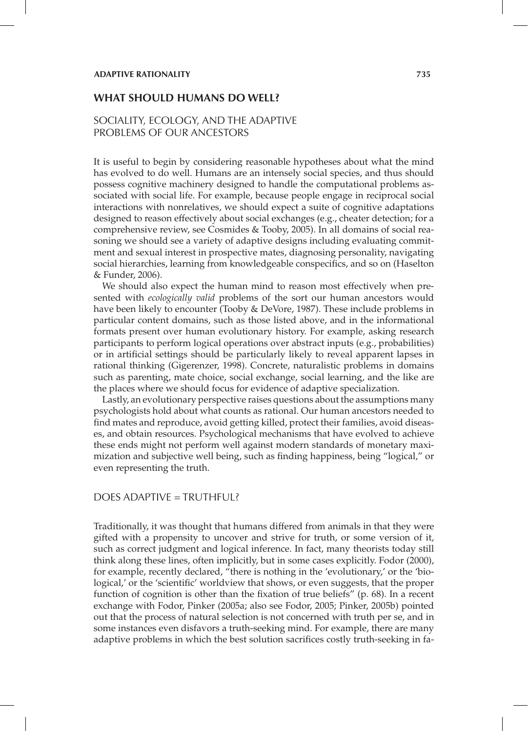### **What Should Humans Do Well?**

Sociality, Ecology, and the Adaptive Problems of our Ancestors

It is useful to begin by considering reasonable hypotheses about what the mind has evolved to do well. Humans are an intensely social species, and thus should possess cognitive machinery designed to handle the computational problems associated with social life. For example, because people engage in reciprocal social interactions with nonrelatives, we should expect a suite of cognitive adaptations designed to reason effectively about social exchanges (e.g., cheater detection; for a comprehensive review, see Cosmides & Tooby, 2005). In all domains of social reasoning we should see a variety of adaptive designs including evaluating commitment and sexual interest in prospective mates, diagnosing personality, navigating social hierarchies, learning from knowledgeable conspecifics, and so on (Haselton & Funder, 2006).

We should also expect the human mind to reason most effectively when presented with *ecologically valid* problems of the sort our human ancestors would have been likely to encounter (Tooby & DeVore, 1987). These include problems in particular content domains, such as those listed above, and in the informational formats present over human evolutionary history. For example, asking research participants to perform logical operations over abstract inputs (e.g., probabilities) or in artificial settings should be particularly likely to reveal apparent lapses in rational thinking (Gigerenzer, 1998). Concrete, naturalistic problems in domains such as parenting, mate choice, social exchange, social learning, and the like are the places where we should focus for evidence of adaptive specialization.

Lastly, an evolutionary perspective raises questions about the assumptions many psychologists hold about what counts as rational. Our human ancestors needed to find mates and reproduce, avoid getting killed, protect their families, avoid diseases, and obtain resources. Psychological mechanisms that have evolved to achieve these ends might not perform well against modern standards of monetary maximization and subjective well being, such as finding happiness, being "logical," or even representing the truth.

### $DOFS ADAPTIVE = TRUTHFLJ$

Traditionally, it was thought that humans differed from animals in that they were gifted with a propensity to uncover and strive for truth, or some version of it, such as correct judgment and logical inference. In fact, many theorists today still think along these lines, often implicitly, but in some cases explicitly. Fodor (2000), for example, recently declared, "there is nothing in the 'evolutionary,' or the 'biological,' or the 'scientific' worldview that shows, or even suggests, that the proper function of cognition is other than the fixation of true beliefs" (p. 68). In a recent exchange with Fodor, Pinker (2005a; also see Fodor, 2005; Pinker, 2005b) pointed out that the process of natural selection is not concerned with truth per se, and in some instances even disfavors a truth-seeking mind. For example, there are many adaptive problems in which the best solution sacrifices costly truth-seeking in fa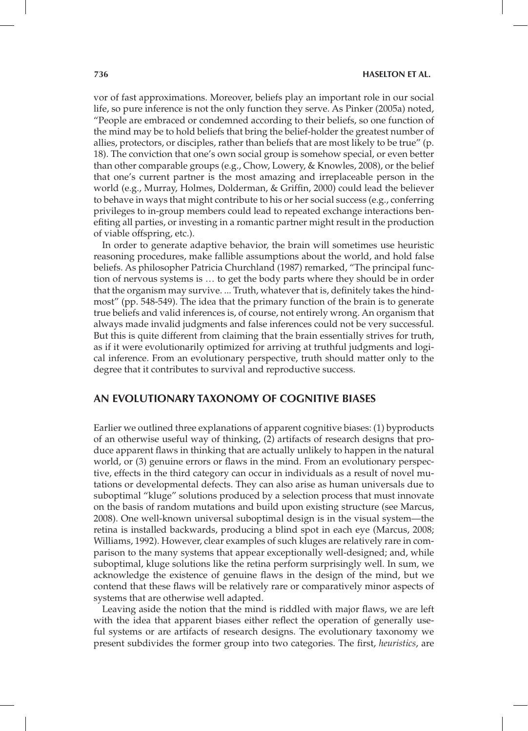vor of fast approximations. Moreover, beliefs play an important role in our social life, so pure inference is not the only function they serve. As Pinker (2005a) noted, "People are embraced or condemned according to their beliefs, so one function of the mind may be to hold beliefs that bring the belief-holder the greatest number of allies, protectors, or disciples, rather than beliefs that are most likely to be true" (p. 18). The conviction that one's own social group is somehow special, or even better than other comparable groups (e.g., Chow, Lowery, & Knowles, 2008), or the belief that one's current partner is the most amazing and irreplaceable person in the world (e.g., Murray, Holmes, Dolderman, & Griffin, 2000) could lead the believer to behave in ways that might contribute to his or her social success (e.g., conferring privileges to in-group members could lead to repeated exchange interactions benefiting all parties, or investing in a romantic partner might result in the production of viable offspring, etc.).

In order to generate adaptive behavior, the brain will sometimes use heuristic reasoning procedures, make fallible assumptions about the world, and hold false beliefs. As philosopher Patricia Churchland (1987) remarked, "The principal function of nervous systems is … to get the body parts where they should be in order that the organism may survive. ... Truth, whatever that is, definitely takes the hindmost" (pp. 548-549). The idea that the primary function of the brain is to generate true beliefs and valid inferences is, of course, not entirely wrong. An organism that always made invalid judgments and false inferences could not be very successful. But this is quite different from claiming that the brain essentially strives for truth, as if it were evolutionarily optimized for arriving at truthful judgments and logical inference. From an evolutionary perspective, truth should matter only to the degree that it contributes to survival and reproductive success.

### **An Evolutionary Taxonomy of Cognitive Biases**

Earlier we outlined three explanations of apparent cognitive biases: (1) byproducts of an otherwise useful way of thinking, (2) artifacts of research designs that produce apparent flaws in thinking that are actually unlikely to happen in the natural world, or (3) genuine errors or flaws in the mind. From an evolutionary perspective, effects in the third category can occur in individuals as a result of novel mutations or developmental defects. They can also arise as human universals due to suboptimal "kluge" solutions produced by a selection process that must innovate on the basis of random mutations and build upon existing structure (see Marcus, 2008). One well-known universal suboptimal design is in the visual system—the retina is installed backwards, producing a blind spot in each eye (Marcus, 2008; Williams, 1992). However, clear examples of such kluges are relatively rare in comparison to the many systems that appear exceptionally well-designed; and, while suboptimal, kluge solutions like the retina perform surprisingly well. In sum, we acknowledge the existence of genuine flaws in the design of the mind, but we contend that these flaws will be relatively rare or comparatively minor aspects of systems that are otherwise well adapted.

Leaving aside the notion that the mind is riddled with major flaws, we are left with the idea that apparent biases either reflect the operation of generally useful systems or are artifacts of research designs. The evolutionary taxonomy we present subdivides the former group into two categories. The first, *heuristics*, are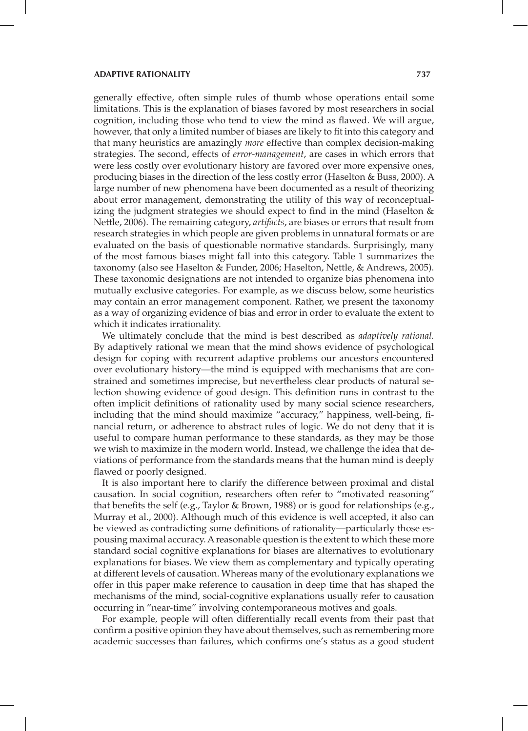generally effective, often simple rules of thumb whose operations entail some limitations. This is the explanation of biases favored by most researchers in social cognition, including those who tend to view the mind as flawed. We will argue, however, that only a limited number of biases are likely to fit into this category and that many heuristics are amazingly *more* effective than complex decision-making strategies. The second, effects of *error-management*, are cases in which errors that were less costly over evolutionary history are favored over more expensive ones, producing biases in the direction of the less costly error (Haselton & Buss, 2000). A large number of new phenomena have been documented as a result of theorizing about error management, demonstrating the utility of this way of reconceptualizing the judgment strategies we should expect to find in the mind (Haselton & Nettle, 2006). The remaining category, *artifacts*, are biases or errors that result from research strategies in which people are given problems in unnatural formats or are evaluated on the basis of questionable normative standards. Surprisingly, many of the most famous biases might fall into this category. Table 1 summarizes the taxonomy (also see Haselton & Funder, 2006; Haselton, Nettle, & Andrews, 2005). These taxonomic designations are not intended to organize bias phenomena into mutually exclusive categories. For example, as we discuss below, some heuristics may contain an error management component. Rather, we present the taxonomy as a way of organizing evidence of bias and error in order to evaluate the extent to which it indicates irrationality.

We ultimately conclude that the mind is best described as *adaptively rational.*  By adaptively rational we mean that the mind shows evidence of psychological design for coping with recurrent adaptive problems our ancestors encountered over evolutionary history—the mind is equipped with mechanisms that are constrained and sometimes imprecise, but nevertheless clear products of natural selection showing evidence of good design. This definition runs in contrast to the often implicit definitions of rationality used by many social science researchers, including that the mind should maximize "accuracy," happiness, well-being, financial return, or adherence to abstract rules of logic. We do not deny that it is useful to compare human performance to these standards, as they may be those we wish to maximize in the modern world. Instead, we challenge the idea that deviations of performance from the standards means that the human mind is deeply flawed or poorly designed.

It is also important here to clarify the difference between proximal and distal causation. In social cognition, researchers often refer to "motivated reasoning" that benefits the self (e.g., Taylor & Brown, 1988) or is good for relationships (e.g., Murray et al., 2000). Although much of this evidence is well accepted, it also can be viewed as contradicting some definitions of rationality—particularly those espousing maximal accuracy. A reasonable question is the extent to which these more standard social cognitive explanations for biases are alternatives to evolutionary explanations for biases. We view them as complementary and typically operating at different levels of causation. Whereas many of the evolutionary explanations we offer in this paper make reference to causation in deep time that has shaped the mechanisms of the mind, social-cognitive explanations usually refer to causation occurring in "near-time" involving contemporaneous motives and goals.

For example, people will often differentially recall events from their past that confirm a positive opinion they have about themselves, such as remembering more academic successes than failures, which confirms one's status as a good student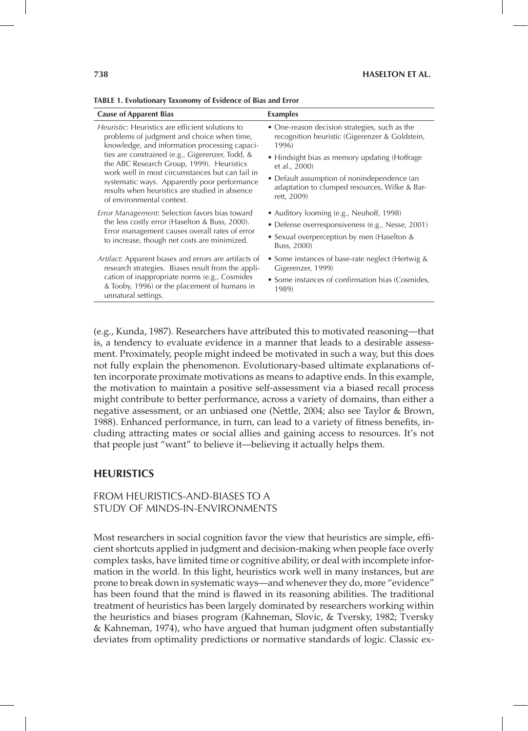| <b>Cause of Apparent Bias</b>                                                                                                                                                                                                                                                                                                                                                                                                     | <b>Examples</b>                                                                                                                                                                                                                                                                           |
|-----------------------------------------------------------------------------------------------------------------------------------------------------------------------------------------------------------------------------------------------------------------------------------------------------------------------------------------------------------------------------------------------------------------------------------|-------------------------------------------------------------------------------------------------------------------------------------------------------------------------------------------------------------------------------------------------------------------------------------------|
| Heuristic: Heuristics are efficient solutions to<br>problems of judgment and choice when time,<br>knowledge, and information processing capaci-<br>ties are constrained (e.g., Gigerenzer, Todd, &<br>the ABC Research Group, 1999). Heuristics<br>work well in most circumstances but can fail in<br>systematic ways. Apparently poor performance<br>results when heuristics are studied in absence<br>of environmental context. | • One-reason decision strategies, such as the<br>recognition heuristic (Gigerenzer & Goldstein,<br>1996)<br>• Hindsight bias as memory updating (Hoffrage<br>et al., 2000)<br>• Default assumption of nonindependence (an<br>adaptation to clumped resources, Wilke & Bar-<br>rett, 2009) |
| <i>Error Management: Selection favors bias toward</i><br>the less costly error (Haselton & Buss, 2000).<br>Error management causes overall rates of error<br>to increase, though net costs are minimized.                                                                                                                                                                                                                         | • Auditory looming (e.g., Neuhoff, 1998)<br>• Defense overresponsiveness (e.g., Nesse, 2001)<br>• Sexual overperception by men (Haselton &<br>Buss, 2000)                                                                                                                                 |
| Artifact: Apparent biases and errors are artifacts of<br>research strategies. Biases result from the appli-<br>cation of inappropriate norms (e.g., Cosmides<br>& Tooby, 1996) or the placement of humans in<br>unnatural settings.                                                                                                                                                                                               | • Some instances of base-rate neglect (Hertwig &<br>Gigerenzer, 1999)<br>• Some instances of confirmation bias (Cosmides,<br>1989)                                                                                                                                                        |

**TABLE 1. Evolutionary Taxonomy of Evidence of Bias and Error**

(e.g., Kunda, 1987). Researchers have attributed this to motivated reasoning—that is, a tendency to evaluate evidence in a manner that leads to a desirable assessment. Proximately, people might indeed be motivated in such a way, but this does not fully explain the phenomenon. Evolutionary-based ultimate explanations often incorporate proximate motivations as means to adaptive ends. In this example, the motivation to maintain a positive self-assessment via a biased recall process might contribute to better performance, across a variety of domains, than either a negative assessment, or an unbiased one (Nettle, 2004; also see Taylor & Brown, 1988). Enhanced performance, in turn, can lead to a variety of fitness benefits, including attracting mates or social allies and gaining access to resources. It's not that people just "want" to believe it—believing it actually helps them.

### **Heuristics**

## From Heuristics-and-Biases to a Study of Minds-in-Environments

Most researchers in social cognition favor the view that heuristics are simple, efficient shortcuts applied in judgment and decision-making when people face overly complex tasks, have limited time or cognitive ability, or deal with incomplete information in the world. In this light, heuristics work well in many instances, but are prone to break down in systematic ways—and whenever they do, more "evidence" has been found that the mind is flawed in its reasoning abilities. The traditional treatment of heuristics has been largely dominated by researchers working within the heuristics and biases program (Kahneman, Slovic, & Tversky, 1982; Tversky & Kahneman, 1974), who have argued that human judgment often substantially deviates from optimality predictions or normative standards of logic. Classic ex-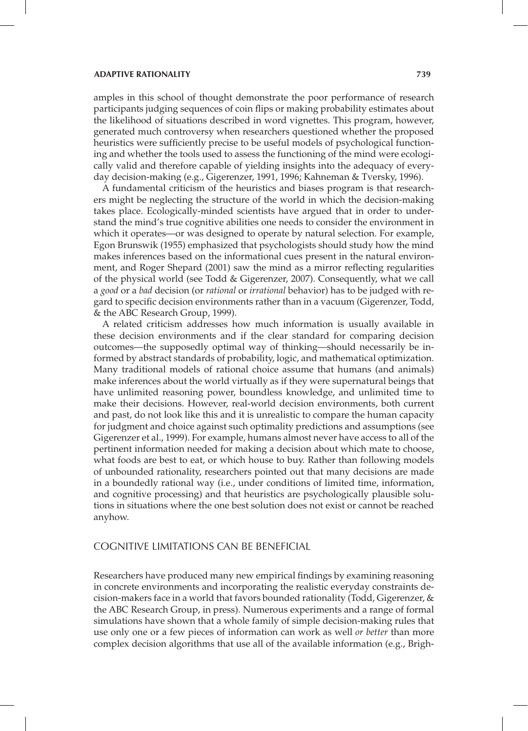amples in this school of thought demonstrate the poor performance of research participants judging sequences of coin flips or making probability estimates about the likelihood of situations described in word vignettes. This program, however, generated much controversy when researchers questioned whether the proposed heuristics were sufficiently precise to be useful models of psychological functioning and whether the tools used to assess the functioning of the mind were ecologically valid and therefore capable of yielding insights into the adequacy of everyday decision-making (e.g., Gigerenzer, 1991, 1996; Kahneman & Tversky, 1996).

A fundamental criticism of the heuristics and biases program is that researchers might be neglecting the structure of the world in which the decision-making takes place. Ecologically-minded scientists have argued that in order to understand the mind's true cognitive abilities one needs to consider the environment in which it operates—or was designed to operate by natural selection. For example, Egon Brunswik (1955) emphasized that psychologists should study how the mind makes inferences based on the informational cues present in the natural environment, and Roger Shepard (2001) saw the mind as a mirror reflecting regularities of the physical world (see Todd & Gigerenzer, 2007). Consequently, what we call a *good* or a *bad* decision (or *rational* or *irrational* behavior) has to be judged with regard to specific decision environments rather than in a vacuum (Gigerenzer, Todd, & the ABC Research Group, 1999).

A related criticism addresses how much information is usually available in these decision environments and if the clear standard for comparing decision outcomes—the supposedly optimal way of thinking—should necessarily be informed by abstract standards of probability, logic, and mathematical optimization. Many traditional models of rational choice assume that humans (and animals) make inferences about the world virtually as if they were supernatural beings that have unlimited reasoning power, boundless knowledge, and unlimited time to make their decisions. However, real-world decision environments, both current and past, do not look like this and it is unrealistic to compare the human capacity for judgment and choice against such optimality predictions and assumptions (see Gigerenzer et al., 1999). For example, humans almost never have access to all of the pertinent information needed for making a decision about which mate to choose, what foods are best to eat, or which house to buy. Rather than following models of unbounded rationality, researchers pointed out that many decisions are made in a boundedly rational way (i.e., under conditions of limited time, information, and cognitive processing) and that heuristics are psychologically plausible solutions in situations where the one best solution does not exist or cannot be reached anyhow.

### Cognitive Limitations Can be Beneficial

Researchers have produced many new empirical findings by examining reasoning in concrete environments and incorporating the realistic everyday constraints decision-makers face in a world that favors bounded rationality (Todd, Gigerenzer, & the ABC Research Group, in press). Numerous experiments and a range of formal simulations have shown that a whole family of simple decision-making rules that use only one or a few pieces of information can work as well *or better* than more complex decision algorithms that use all of the available information (e.g., Brigh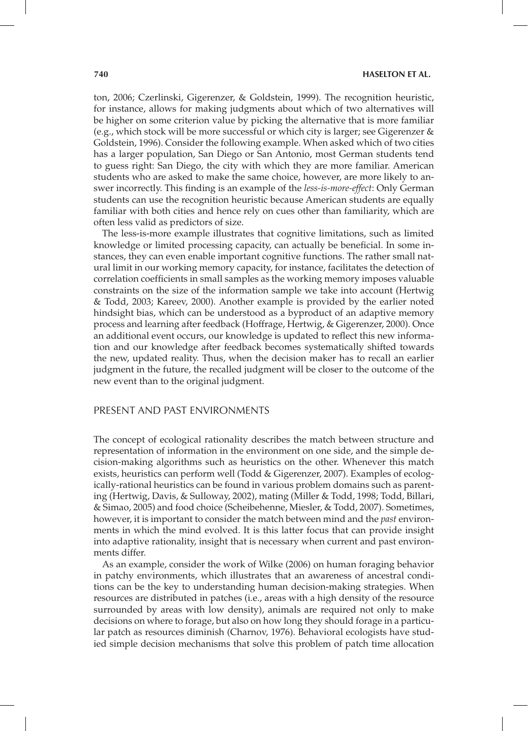ton, 2006; Czerlinski, Gigerenzer, & Goldstein, 1999). The recognition heuristic, for instance, allows for making judgments about which of two alternatives will be higher on some criterion value by picking the alternative that is more familiar (e.g., which stock will be more successful or which city is larger; see Gigerenzer & Goldstein, 1996). Consider the following example. When asked which of two cities has a larger population, San Diego or San Antonio, most German students tend to guess right: San Diego, the city with which they are more familiar. American students who are asked to make the same choice, however, are more likely to answer incorrectly. This finding is an example of the *less-is-more-effect*: Only German students can use the recognition heuristic because American students are equally familiar with both cities and hence rely on cues other than familiarity, which are often less valid as predictors of size.

The less-is-more example illustrates that cognitive limitations, such as limited knowledge or limited processing capacity, can actually be beneficial. In some instances, they can even enable important cognitive functions. The rather small natural limit in our working memory capacity, for instance, facilitates the detection of correlation coefficients in small samples as the working memory imposes valuable constraints on the size of the information sample we take into account (Hertwig & Todd, 2003; Kareev, 2000). Another example is provided by the earlier noted hindsight bias, which can be understood as a byproduct of an adaptive memory process and learning after feedback (Hoffrage, Hertwig, & Gigerenzer, 2000). Once an additional event occurs, our knowledge is updated to reflect this new information and our knowledge after feedback becomes systematically shifted towards the new, updated reality. Thus, when the decision maker has to recall an earlier judgment in the future, the recalled judgment will be closer to the outcome of the new event than to the original judgment.

### Present and Past Environments

The concept of ecological rationality describes the match between structure and representation of information in the environment on one side, and the simple decision-making algorithms such as heuristics on the other. Whenever this match exists, heuristics can perform well (Todd & Gigerenzer, 2007). Examples of ecologically-rational heuristics can be found in various problem domains such as parenting (Hertwig, Davis, & Sulloway, 2002), mating (Miller & Todd, 1998; Todd, Billari, & Simao, 2005) and food choice (Scheibehenne, Miesler, & Todd, 2007). Sometimes, however, it is important to consider the match between mind and the *past* environments in which the mind evolved. It is this latter focus that can provide insight into adaptive rationality, insight that is necessary when current and past environments differ.

As an example, consider the work of Wilke (2006) on human foraging behavior in patchy environments, which illustrates that an awareness of ancestral conditions can be the key to understanding human decision-making strategies. When resources are distributed in patches (i.e., areas with a high density of the resource surrounded by areas with low density), animals are required not only to make decisions on where to forage, but also on how long they should forage in a particular patch as resources diminish (Charnov, 1976). Behavioral ecologists have studied simple decision mechanisms that solve this problem of patch time allocation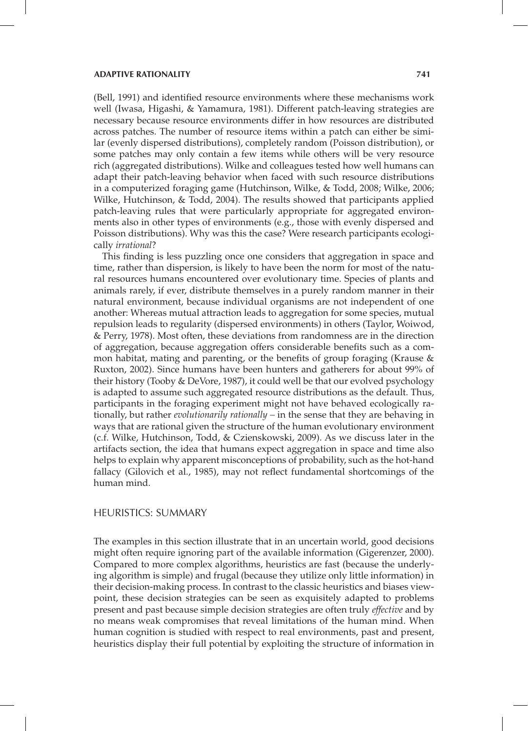(Bell, 1991) and identified resource environments where these mechanisms work well (Iwasa, Higashi, & Yamamura, 1981). Different patch-leaving strategies are necessary because resource environments differ in how resources are distributed across patches. The number of resource items within a patch can either be similar (evenly dispersed distributions), completely random (Poisson distribution), or some patches may only contain a few items while others will be very resource rich (aggregated distributions). Wilke and colleagues tested how well humans can adapt their patch-leaving behavior when faced with such resource distributions in a computerized foraging game (Hutchinson, Wilke, & Todd, 2008; Wilke, 2006; Wilke, Hutchinson, & Todd, 2004). The results showed that participants applied patch-leaving rules that were particularly appropriate for aggregated environments also in other types of environments (e.g., those with evenly dispersed and Poisson distributions). Why was this the case? Were research participants ecologically *irrational*?

This finding is less puzzling once one considers that aggregation in space and time, rather than dispersion, is likely to have been the norm for most of the natural resources humans encountered over evolutionary time. Species of plants and animals rarely, if ever, distribute themselves in a purely random manner in their natural environment, because individual organisms are not independent of one another: Whereas mutual attraction leads to aggregation for some species, mutual repulsion leads to regularity (dispersed environments) in others (Taylor, Woiwod, & Perry, 1978). Most often, these deviations from randomness are in the direction of aggregation, because aggregation offers considerable benefits such as a common habitat, mating and parenting, or the benefits of group foraging (Krause & Ruxton, 2002). Since humans have been hunters and gatherers for about 99% of their history (Tooby & DeVore, 1987), it could well be that our evolved psychology is adapted to assume such aggregated resource distributions as the default. Thus, participants in the foraging experiment might not have behaved ecologically rationally, but rather *evolutionarily rationally –* in the sense that they are behaving in ways that are rational given the structure of the human evolutionary environment (c.f. Wilke, Hutchinson, Todd, & Czienskowski, 2009). As we discuss later in the artifacts section, the idea that humans expect aggregation in space and time also helps to explain why apparent misconceptions of probability, such as the hot-hand fallacy (Gilovich et al., 1985), may not reflect fundamental shortcomings of the human mind.

### Heuristics: Summary

The examples in this section illustrate that in an uncertain world, good decisions might often require ignoring part of the available information (Gigerenzer, 2000). Compared to more complex algorithms, heuristics are fast (because the underlying algorithm is simple) and frugal (because they utilize only little information) in their decision-making process. In contrast to the classic heuristics and biases viewpoint, these decision strategies can be seen as exquisitely adapted to problems present and past because simple decision strategies are often truly *effective* and by no means weak compromises that reveal limitations of the human mind. When human cognition is studied with respect to real environments, past and present, heuristics display their full potential by exploiting the structure of information in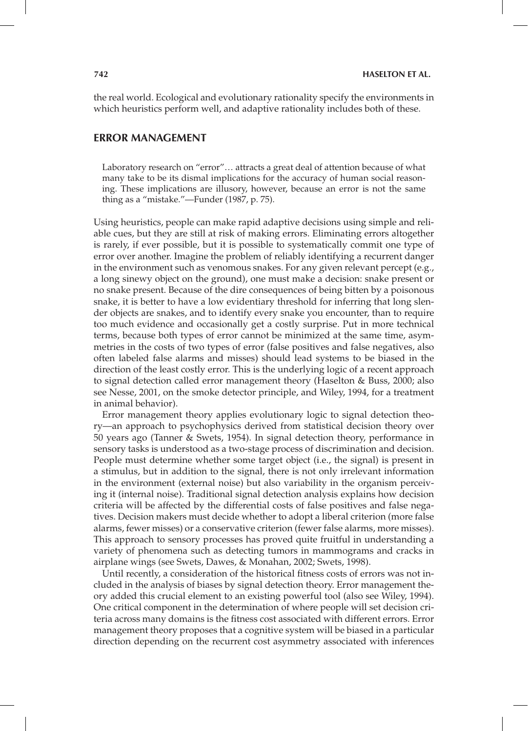the real world. Ecological and evolutionary rationality specify the environments in which heuristics perform well, and adaptive rationality includes both of these.

### **Error Management**

Laboratory research on "error"… attracts a great deal of attention because of what many take to be its dismal implications for the accuracy of human social reasoning. These implications are illusory, however, because an error is not the same thing as a "mistake."—Funder (1987, p. 75).

Using heuristics, people can make rapid adaptive decisions using simple and reliable cues, but they are still at risk of making errors. Eliminating errors altogether is rarely, if ever possible, but it is possible to systematically commit one type of error over another. Imagine the problem of reliably identifying a recurrent danger in the environment such as venomous snakes. For any given relevant percept (e.g., a long sinewy object on the ground), one must make a decision: snake present or no snake present. Because of the dire consequences of being bitten by a poisonous snake, it is better to have a low evidentiary threshold for inferring that long slender objects are snakes, and to identify every snake you encounter, than to require too much evidence and occasionally get a costly surprise. Put in more technical terms, because both types of error cannot be minimized at the same time, asymmetries in the costs of two types of error (false positives and false negatives, also often labeled false alarms and misses) should lead systems to be biased in the direction of the least costly error. This is the underlying logic of a recent approach to signal detection called error management theory (Haselton & Buss, 2000; also see Nesse, 2001, on the smoke detector principle, and Wiley, 1994, for a treatment in animal behavior).

Error management theory applies evolutionary logic to signal detection theory—an approach to psychophysics derived from statistical decision theory over 50 years ago (Tanner & Swets, 1954). In signal detection theory, performance in sensory tasks is understood as a two-stage process of discrimination and decision. People must determine whether some target object (i.e., the signal) is present in a stimulus, but in addition to the signal, there is not only irrelevant information in the environment (external noise) but also variability in the organism perceiving it (internal noise). Traditional signal detection analysis explains how decision criteria will be affected by the differential costs of false positives and false negatives. Decision makers must decide whether to adopt a liberal criterion (more false alarms, fewer misses) or a conservative criterion (fewer false alarms, more misses). This approach to sensory processes has proved quite fruitful in understanding a variety of phenomena such as detecting tumors in mammograms and cracks in airplane wings (see Swets, Dawes, & Monahan, 2002; Swets, 1998).

Until recently, a consideration of the historical fitness costs of errors was not included in the analysis of biases by signal detection theory. Error management theory added this crucial element to an existing powerful tool (also see Wiley, 1994). One critical component in the determination of where people will set decision criteria across many domains is the fitness cost associated with different errors. Error management theory proposes that a cognitive system will be biased in a particular direction depending on the recurrent cost asymmetry associated with inferences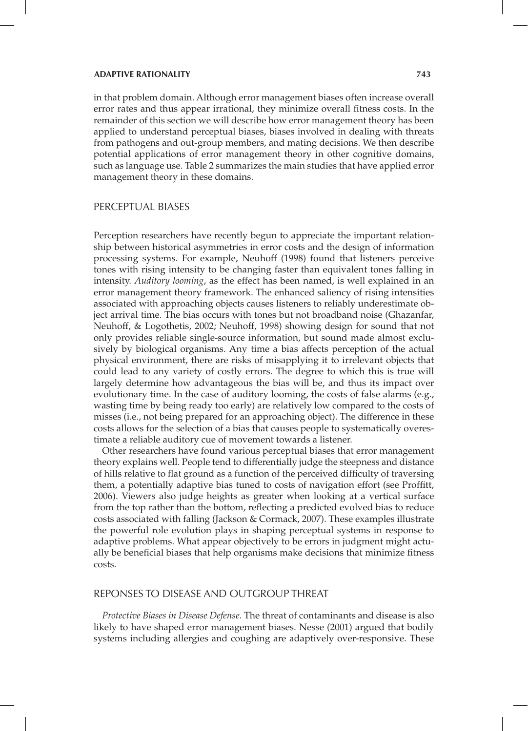in that problem domain. Although error management biases often increase overall error rates and thus appear irrational, they minimize overall fitness costs. In the remainder of this section we will describe how error management theory has been applied to understand perceptual biases, biases involved in dealing with threats from pathogens and out-group members, and mating decisions. We then describe potential applications of error management theory in other cognitive domains, such as language use. Table 2 summarizes the main studies that have applied error management theory in these domains.

### Perceptual Biases

Perception researchers have recently begun to appreciate the important relationship between historical asymmetries in error costs and the design of information processing systems. For example, Neuhoff (1998) found that listeners perceive tones with rising intensity to be changing faster than equivalent tones falling in intensity. *Auditory looming*, as the effect has been named, is well explained in an error management theory framework. The enhanced saliency of rising intensities associated with approaching objects causes listeners to reliably underestimate object arrival time. The bias occurs with tones but not broadband noise (Ghazanfar, Neuhoff, & Logothetis, 2002; Neuhoff, 1998) showing design for sound that not only provides reliable single-source information, but sound made almost exclusively by biological organisms. Any time a bias affects perception of the actual physical environment, there are risks of misapplying it to irrelevant objects that could lead to any variety of costly errors. The degree to which this is true will largely determine how advantageous the bias will be, and thus its impact over evolutionary time. In the case of auditory looming, the costs of false alarms (e.g., wasting time by being ready too early) are relatively low compared to the costs of misses (i.e., not being prepared for an approaching object). The difference in these costs allows for the selection of a bias that causes people to systematically overestimate a reliable auditory cue of movement towards a listener.

Other researchers have found various perceptual biases that error management theory explains well. People tend to differentially judge the steepness and distance of hills relative to flat ground as a function of the perceived difficulty of traversing them, a potentially adaptive bias tuned to costs of navigation effort (see Proffitt, 2006). Viewers also judge heights as greater when looking at a vertical surface from the top rather than the bottom, reflecting a predicted evolved bias to reduce costs associated with falling (Jackson & Cormack, 2007). These examples illustrate the powerful role evolution plays in shaping perceptual systems in response to adaptive problems. What appear objectively to be errors in judgment might actually be beneficial biases that help organisms make decisions that minimize fitness costs.

### Reponses to Disease and Outgroup Threat

*Protective Biases in Disease Defense.* The threat of contaminants and disease is also likely to have shaped error management biases. Nesse (2001) argued that bodily systems including allergies and coughing are adaptively over-responsive. These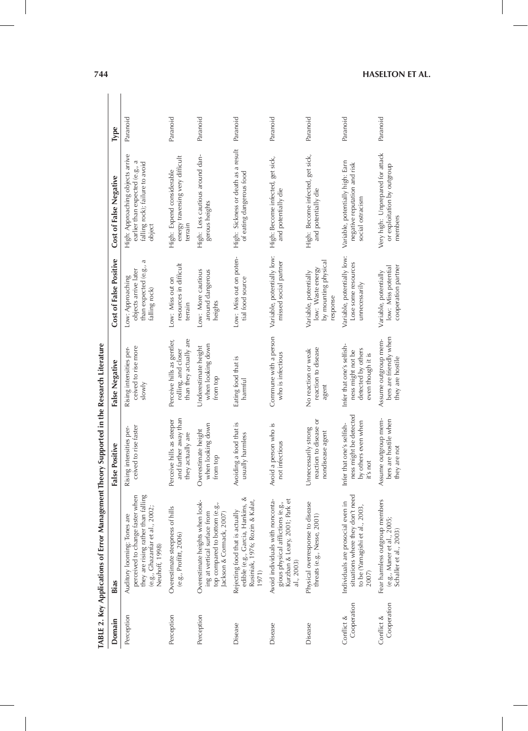|                           | TABLE 2. Key Applications of Error Management Theory Supported in the Research Literature                                                                    |                                                                                        |                                                                                           |                                                                                                              |                                                                                                                 |          |
|---------------------------|--------------------------------------------------------------------------------------------------------------------------------------------------------------|----------------------------------------------------------------------------------------|-------------------------------------------------------------------------------------------|--------------------------------------------------------------------------------------------------------------|-----------------------------------------------------------------------------------------------------------------|----------|
| Domain                    | Bias                                                                                                                                                         | False Positive                                                                         | False Negative                                                                            | Cost of False Positive                                                                                       | Cost of False Negative                                                                                          | Type     |
| Perception                | they are rising rather than falling<br>when<br>(e.g., Ghazanfar et al., 2002;<br>Auditory looming: Tones are<br>perceived to change faster<br>Neuhoff, 1998) | ceived to rise faster<br>Rising intensities per-                                       | ceived to rise more<br>Rising intensities per-<br>slowly                                  | $\overline{\mathrm{c}}$<br>than expected (e.g.,<br>objects arrive later<br>Low: Approaching<br>falling rock) | High: Approaching objects arrive<br>earlier than expected (e.g., a<br>falling rock); failure to avoid<br>object | Paranoid |
| Perception                | Overestimate steepness of hills<br>(e.g., Proffit, 2006)                                                                                                     | and farther away than<br>Perceive hills as steeper<br>they actually are                | than they actually are<br>Perceive hills as gentler,<br>rolling, and closer               | resources in difficult<br>Low: Miss out on<br>terrain                                                        | energy traversing very difficult<br>High: Expend considerable<br>terrain                                        | Paranoid |
| Perception                | Overestimate heights when look-<br>top compared to bottom (e.g.,<br>ing at vertical surface from<br>lackson & Cormack, 2007                                  | when looking down<br>Overestimate height<br>from top                                   | when looking down<br>Underestimate height<br>from top                                     | Low: More cautious<br>around dangerous<br>heights                                                            | High: Less cautious around dan-<br>gerous heights                                                               | Paranoid |
| Disease                   | edible (e.g., Garcia, Hankins, &<br>Rusiniak, 1976; Rozin & Kalat,<br>Rejecting food that is actually<br>1971                                                | Avoiding a food that is<br>usually harmless                                            | Eating food that is<br>harmful                                                            | Low: Miss out on poten-<br>tial food source                                                                  | High: Sickness or death as a result<br>of eating dangerous food                                                 | Paranoid |
| Disease                   | Avoid individuals with nonconta-<br>Kurzban & Leary, 2001; Park et<br>gious physical afflictions (e.g.,<br>al., 2003)                                        | Avoid a person who is<br>not infectious                                                | Commune with a person<br>who is infectious                                                | Variable, potentially low:<br>missed social partner                                                          | High: Become infected, get sick,<br>and potentially die                                                         | Paranoid |
| Disease                   | Physical overresponse to disease<br>threats (e.g., Nesse, 2001)                                                                                              | reaction to disease or<br>Unnecessarily strong<br>nondisease agent                     | reaction to disease<br>No reaction or weak<br>agent                                       | by mounting physical<br>low: Waste energy<br>Variable, potentially<br>response                               | High: Become infected, get sick,<br>and potentially die                                                         | Paranoid |
| Cooperation<br>Conflict & | situations where they don't need<br>Individuals are prosocial even in<br>to be (Yamagishi et al., 2003,<br>2007)                                             | ness might be detected<br>by others even when<br>Infer that one's selfish-<br>it's not | Infer that one's selfish-<br>detected by others<br>ness might not be<br>even though it is | Variable, potentially low:<br>Lose some resources<br>unnecessarily                                           | Variable, potentially high: Earn<br>negative reputation and risk<br>social ostracism                            | Paranoid |
| Cooperation<br>Conflict & | Fear harmless outgroup members<br>(e.g., Maner et al., 2005;<br>Schaller et al., 2003)                                                                       | Assume outgroup mem-<br>bers are hostile when<br>they are not                          | bers are friendly when<br>Assume outgroup mem-<br>they are hostile                        | cooperation partner<br>low: Miss potential<br>Variable, potentially                                          | Very high: Unprepared for attack<br>or exploitation by outgroup<br>members                                      | Paranoid |

### **744 HASE LTON ET AL .**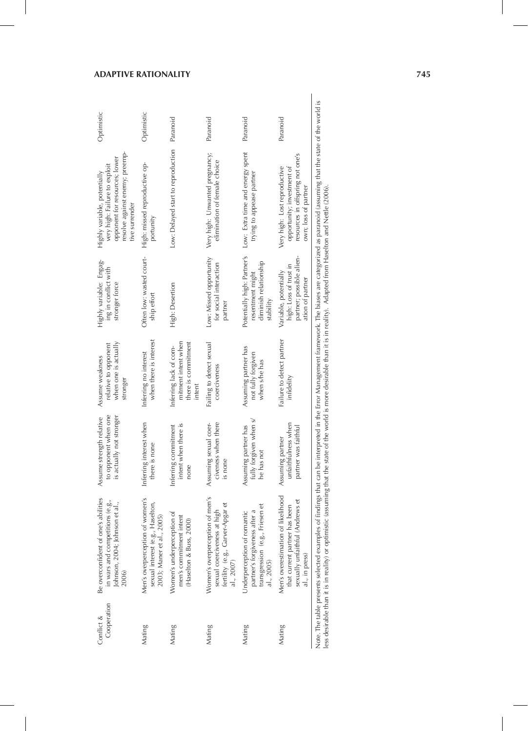| Optimistic                                                                                                                                         | Optimistic                                                                                       | Paranoid                                                                         | Paranoid                                                                                                         | Paranoid                                                                                                      | Paranoid                                                                                                                 |                                                                                                                                                                                                  |
|----------------------------------------------------------------------------------------------------------------------------------------------------|--------------------------------------------------------------------------------------------------|----------------------------------------------------------------------------------|------------------------------------------------------------------------------------------------------------------|---------------------------------------------------------------------------------------------------------------|--------------------------------------------------------------------------------------------------------------------------|--------------------------------------------------------------------------------------------------------------------------------------------------------------------------------------------------|
| resolve against enemy; preemp-<br>opponent for resources; lower<br>very high: Failure to exploit<br>Highly variable, potentially<br>tive surrender | High: missed reproductive op-<br>portunity                                                       | Low: Delayed start to reproduction                                               | Very high: Unwanted pregnancy;<br>elimination of female choice                                                   | Low: Extra time and energy spent<br>trying to appease partner                                                 | resources in offspring not one's<br>Very high: Lost reproductive<br>opportunity; investment of<br>own; loss of partner   |                                                                                                                                                                                                  |
| Highly variable: Engag-<br>ing in conflict with<br>stronger force                                                                                  | Often low: wasted court-<br>ship effort                                                          | High: Desertion                                                                  | Low: Missed opportunity<br>for social interaction<br>partner                                                     | Potentially high: Partner's<br>diminish relationship<br>resentment might<br>stability                         | partner; possible alien-<br>high: Loss of trust in<br>Variable, potentially<br>ation of partner                          |                                                                                                                                                                                                  |
| when one is actually<br>relative to opponent<br>Assume weakness<br>stronger                                                                        | when there is interest<br>Inferring no interest                                                  | mitment intent when<br>there is commitment<br>Inferring lack of com-<br>intent   | Failing to detect sexual<br>coerciveness                                                                         | Assuming partner has<br>not tully torgiven<br>when s/he has                                                   | Failure to detect partner<br>intidelity                                                                                  |                                                                                                                                                                                                  |
| to opponent when one<br>is actually not stronger<br>Assume strength relative                                                                       | Inferring interest when<br>there is none                                                         | intent when there is<br>Inferring commitment<br>none                             | civeness when there<br>Assuming sexual coer-<br>is none                                                          | fully forgiven when s/<br>Assuming partner has<br>he has not                                                  | untaithtulness when<br>partner was faithful<br>Assuming partner                                                          |                                                                                                                                                                                                  |
| Be overconfident of one's abilities<br>in wars and competitions (e.g.,<br>Johnson, 2004; Johnson et al.,<br>2006)                                  | Men's overperception of women's<br>sexual interest (e.g., Haselton,<br>2003; Maner et al., 2005) | Women's underperception of<br>men's commitment intent<br>(Haselton & Buss, 2000) | Women's overperception of men's<br>fertility (e.g., Garver-Apgar et<br>sexual coerciveness at high<br>al., 2007) | transgression (e.g., Friesen et<br>partner's forgiveness after a<br>Underperception of romantic<br>al., 2005) | Men's overestimation of likelihood<br>sexually unfaithful (Andrews et<br>that current partner has been<br>al., in press) | Aote. The table presents selected examples of findings that can be interpreted in the Error Management framework. The biases are categorized as paranoid (assuming that the state of the world i |
| Cooperation<br>Conflict &                                                                                                                          | Mating                                                                                           | Mating                                                                           | Mating                                                                                                           | Mating                                                                                                        | Mating                                                                                                                   |                                                                                                                                                                                                  |

 $\vert$  . Note. The table presents selected examples of findings that can be interpreted in the Error Management framework. The biases are categorized as paranoid (assuming that the state of the world is Note. The table presents selected examples of findings that can be interpreted in the Error Management framework. The biases are categorized as paranoid (assuming<br>less desirable than it is in reality) or optimistic (assumi less desirable than it is in reality) or optimistic (assuming that the state of the world is more desirable than it is in reality). Adapted from Haselton and Nettle (2006).

### **ADAP TIVE R AT IONALI T**

 $\overline{\phantom{a}}$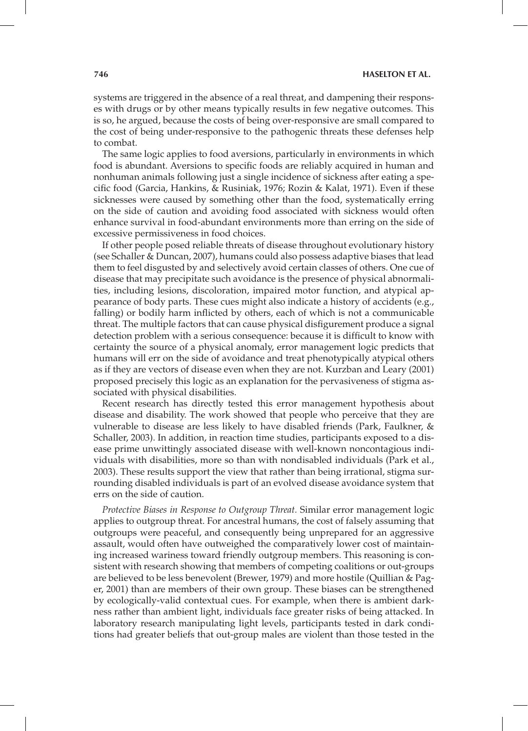systems are triggered in the absence of a real threat, and dampening their responses with drugs or by other means typically results in few negative outcomes. This is so, he argued, because the costs of being over-responsive are small compared to the cost of being under-responsive to the pathogenic threats these defenses help to combat.

The same logic applies to food aversions, particularly in environments in which food is abundant. Aversions to specific foods are reliably acquired in human and nonhuman animals following just a single incidence of sickness after eating a specific food (Garcia, Hankins, & Rusiniak, 1976; Rozin & Kalat, 1971). Even if these sicknesses were caused by something other than the food, systematically erring on the side of caution and avoiding food associated with sickness would often enhance survival in food-abundant environments more than erring on the side of excessive permissiveness in food choices.

If other people posed reliable threats of disease throughout evolutionary history (see Schaller & Duncan, 2007), humans could also possess adaptive biases that lead them to feel disgusted by and selectively avoid certain classes of others. One cue of disease that may precipitate such avoidance is the presence of physical abnormalities, including lesions, discoloration, impaired motor function, and atypical appearance of body parts. These cues might also indicate a history of accidents (e.g., falling) or bodily harm inflicted by others, each of which is not a communicable threat. The multiple factors that can cause physical disfigurement produce a signal detection problem with a serious consequence: because it is difficult to know with certainty the source of a physical anomaly, error management logic predicts that humans will err on the side of avoidance and treat phenotypically atypical others as if they are vectors of disease even when they are not. Kurzban and Leary (2001) proposed precisely this logic as an explanation for the pervasiveness of stigma associated with physical disabilities.

Recent research has directly tested this error management hypothesis about disease and disability. The work showed that people who perceive that they are vulnerable to disease are less likely to have disabled friends (Park, Faulkner, & Schaller, 2003). In addition, in reaction time studies, participants exposed to a disease prime unwittingly associated disease with well-known noncontagious individuals with disabilities, more so than with nondisabled individuals (Park et al., 2003). These results support the view that rather than being irrational, stigma surrounding disabled individuals is part of an evolved disease avoidance system that errs on the side of caution.

*Protective Biases in Response to Outgroup Threat.* Similar error management logic applies to outgroup threat. For ancestral humans, the cost of falsely assuming that outgroups were peaceful, and consequently being unprepared for an aggressive assault, would often have outweighed the comparatively lower cost of maintaining increased wariness toward friendly outgroup members. This reasoning is consistent with research showing that members of competing coalitions or out-groups are believed to be less benevolent (Brewer, 1979) and more hostile (Quillian & Pager, 2001) than are members of their own group. These biases can be strengthened by ecologically-valid contextual cues. For example, when there is ambient darkness rather than ambient light, individuals face greater risks of being attacked. In laboratory research manipulating light levels, participants tested in dark conditions had greater beliefs that out-group males are violent than those tested in the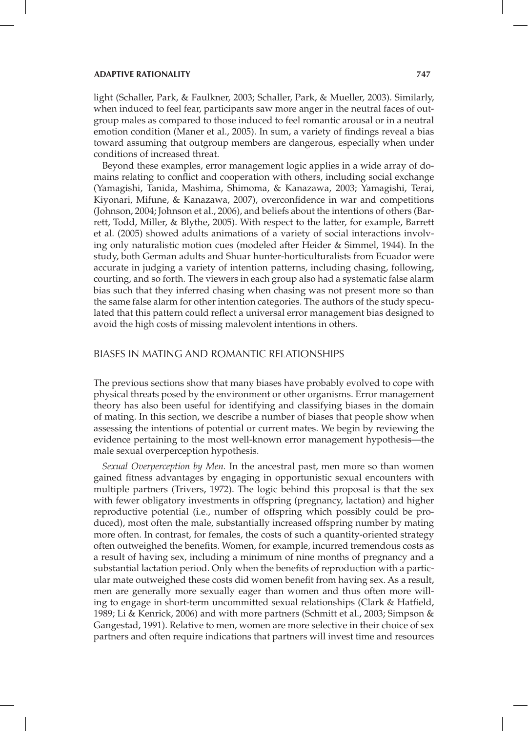light (Schaller, Park, & Faulkner, 2003; Schaller, Park, & Mueller, 2003). Similarly, when induced to feel fear, participants saw more anger in the neutral faces of outgroup males as compared to those induced to feel romantic arousal or in a neutral emotion condition (Maner et al., 2005). In sum, a variety of findings reveal a bias toward assuming that outgroup members are dangerous, especially when under conditions of increased threat.

Beyond these examples, error management logic applies in a wide array of domains relating to conflict and cooperation with others, including social exchange (Yamagishi, Tanida, Mashima, Shimoma, & Kanazawa, 2003; Yamagishi, Terai, Kiyonari, Mifune, & Kanazawa, 2007), overconfidence in war and competitions (Johnson, 2004; Johnson et al., 2006), and beliefs about the intentions of others (Barrett, Todd, Miller, & Blythe, 2005). With respect to the latter, for example, Barrett et al. (2005) showed adults animations of a variety of social interactions involving only naturalistic motion cues (modeled after Heider & Simmel, 1944). In the study, both German adults and Shuar hunter-horticulturalists from Ecuador were accurate in judging a variety of intention patterns, including chasing, following, courting, and so forth. The viewers in each group also had a systematic false alarm bias such that they inferred chasing when chasing was not present more so than the same false alarm for other intention categories. The authors of the study speculated that this pattern could reflect a universal error management bias designed to avoid the high costs of missing malevolent intentions in others.

### Biases in Mating and Romantic Relationships

The previous sections show that many biases have probably evolved to cope with physical threats posed by the environment or other organisms. Error management theory has also been useful for identifying and classifying biases in the domain of mating. In this section, we describe a number of biases that people show when assessing the intentions of potential or current mates. We begin by reviewing the evidence pertaining to the most well-known error management hypothesis—the male sexual overperception hypothesis.

*Sexual Overperception by Men.* In the ancestral past, men more so than women gained fitness advantages by engaging in opportunistic sexual encounters with multiple partners (Trivers, 1972). The logic behind this proposal is that the sex with fewer obligatory investments in offspring (pregnancy, lactation) and higher reproductive potential (i.e., number of offspring which possibly could be produced), most often the male, substantially increased offspring number by mating more often. In contrast, for females, the costs of such a quantity-oriented strategy often outweighed the benefits. Women, for example, incurred tremendous costs as a result of having sex, including a minimum of nine months of pregnancy and a substantial lactation period. Only when the benefits of reproduction with a particular mate outweighed these costs did women benefit from having sex. As a result, men are generally more sexually eager than women and thus often more willing to engage in short-term uncommitted sexual relationships (Clark & Hatfield, 1989; Li & Kenrick, 2006) and with more partners (Schmitt et al., 2003; Simpson & Gangestad, 1991). Relative to men, women are more selective in their choice of sex partners and often require indications that partners will invest time and resources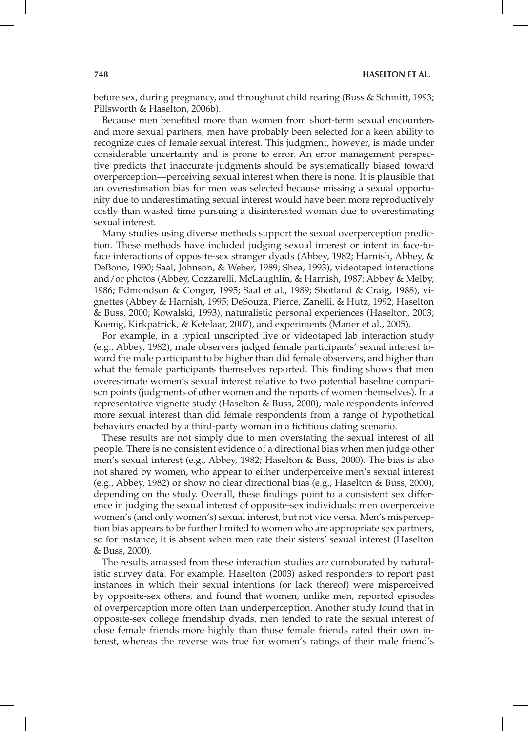before sex, during pregnancy, and throughout child rearing (Buss & Schmitt, 1993; Pillsworth & Haselton, 2006b).

Because men benefited more than women from short-term sexual encounters and more sexual partners, men have probably been selected for a keen ability to recognize cues of female sexual interest. This judgment, however, is made under considerable uncertainty and is prone to error. An error management perspective predicts that inaccurate judgments should be systematically biased toward overperception—perceiving sexual interest when there is none. It is plausible that an overestimation bias for men was selected because missing a sexual opportunity due to underestimating sexual interest would have been more reproductively costly than wasted time pursuing a disinterested woman due to overestimating sexual interest.

Many studies using diverse methods support the sexual overperception prediction. These methods have included judging sexual interest or intent in face-toface interactions of opposite-sex stranger dyads (Abbey, 1982; Harnish, Abbey, & DeBono, 1990; Saal, Johnson, & Weber, 1989; Shea, 1993), videotaped interactions and/or photos (Abbey, Cozzarelli, McLaughlin, & Harnish, 1987; Abbey & Melby, 1986; Edmondson & Conger, 1995; Saal et al., 1989; Shotland & Craig, 1988), vignettes (Abbey & Harnish, 1995; DeSouza, Pierce, Zanelli, & Hutz, 1992; Haselton & Buss, 2000; Kowalski, 1993), naturalistic personal experiences (Haselton, 2003; Koenig, Kirkpatrick, & Ketelaar, 2007), and experiments (Maner et al., 2005).

For example, in a typical unscripted live or videotaped lab interaction study (e.g., Abbey, 1982), male observers judged female participants' sexual interest toward the male participant to be higher than did female observers, and higher than what the female participants themselves reported. This finding shows that men overestimate women's sexual interest relative to two potential baseline comparison points (judgments of other women and the reports of women themselves). In a representative vignette study (Haselton & Buss, 2000), male respondents inferred more sexual interest than did female respondents from a range of hypothetical behaviors enacted by a third-party woman in a fictitious dating scenario.

These results are not simply due to men overstating the sexual interest of all people. There is no consistent evidence of a directional bias when men judge other men's sexual interest (e.g., Abbey, 1982; Haselton & Buss, 2000). The bias is also not shared by women, who appear to either underperceive men's sexual interest (e.g., Abbey, 1982) or show no clear directional bias (e.g., Haselton & Buss, 2000), depending on the study. Overall, these findings point to a consistent sex difference in judging the sexual interest of opposite-sex individuals: men overperceive women's (and only women's) sexual interest, but not vice versa. Men's misperception bias appears to be further limited to women who are appropriate sex partners, so for instance, it is absent when men rate their sisters' sexual interest (Haselton & Buss, 2000).

The results amassed from these interaction studies are corroborated by naturalistic survey data. For example, Haselton (2003) asked responders to report past instances in which their sexual intentions (or lack thereof) were misperceived by opposite-sex others, and found that women, unlike men, reported episodes of overperception more often than underperception. Another study found that in opposite-sex college friendship dyads, men tended to rate the sexual interest of close female friends more highly than those female friends rated their own interest, whereas the reverse was true for women's ratings of their male friend's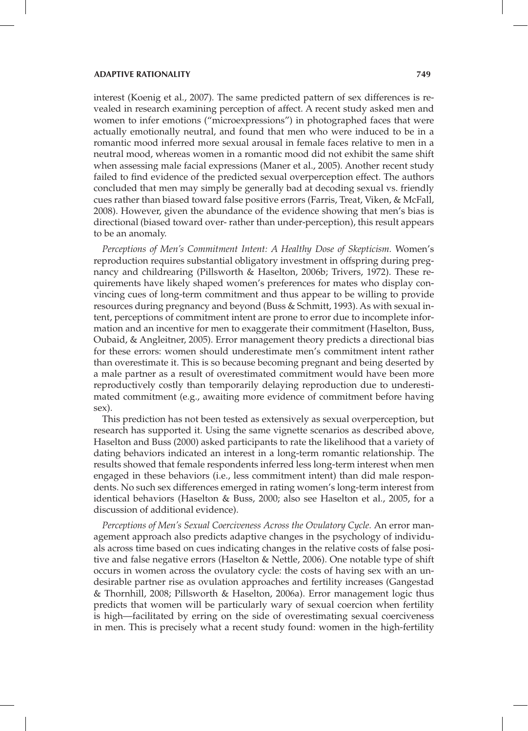interest (Koenig et al., 2007). The same predicted pattern of sex differences is revealed in research examining perception of affect. A recent study asked men and women to infer emotions ("microexpressions") in photographed faces that were actually emotionally neutral, and found that men who were induced to be in a romantic mood inferred more sexual arousal in female faces relative to men in a neutral mood, whereas women in a romantic mood did not exhibit the same shift when assessing male facial expressions (Maner et al., 2005). Another recent study failed to find evidence of the predicted sexual overperception effect. The authors concluded that men may simply be generally bad at decoding sexual vs. friendly cues rather than biased toward false positive errors (Farris, Treat, Viken, & McFall, 2008). However, given the abundance of the evidence showing that men's bias is directional (biased toward over- rather than under-perception), this result appears to be an anomaly.

*Perceptions of Men's Commitment Intent: A Healthy Dose of Skepticism.* Women's reproduction requires substantial obligatory investment in offspring during pregnancy and childrearing (Pillsworth & Haselton, 2006b; Trivers, 1972). These requirements have likely shaped women's preferences for mates who display convincing cues of long-term commitment and thus appear to be willing to provide resources during pregnancy and beyond (Buss & Schmitt, 1993). As with sexual intent, perceptions of commitment intent are prone to error due to incomplete information and an incentive for men to exaggerate their commitment (Haselton, Buss, Oubaid, & Angleitner, 2005). Error management theory predicts a directional bias for these errors: women should underestimate men's commitment intent rather than overestimate it. This is so because becoming pregnant and being deserted by a male partner as a result of overestimated commitment would have been more reproductively costly than temporarily delaying reproduction due to underestimated commitment (e.g., awaiting more evidence of commitment before having sex).

This prediction has not been tested as extensively as sexual overperception, but research has supported it. Using the same vignette scenarios as described above, Haselton and Buss (2000) asked participants to rate the likelihood that a variety of dating behaviors indicated an interest in a long-term romantic relationship. The results showed that female respondents inferred less long-term interest when men engaged in these behaviors (i.e., less commitment intent) than did male respondents. No such sex differences emerged in rating women's long-term interest from identical behaviors (Haselton & Buss, 2000; also see Haselton et al., 2005, for a discussion of additional evidence).

*Perceptions of Men's Sexual Coerciveness Across the Ovulatory Cycle.* An error management approach also predicts adaptive changes in the psychology of individuals across time based on cues indicating changes in the relative costs of false positive and false negative errors (Haselton & Nettle, 2006). One notable type of shift occurs in women across the ovulatory cycle: the costs of having sex with an undesirable partner rise as ovulation approaches and fertility increases (Gangestad & Thornhill, 2008; Pillsworth & Haselton, 2006a). Error management logic thus predicts that women will be particularly wary of sexual coercion when fertility is high—facilitated by erring on the side of overestimating sexual coerciveness in men. This is precisely what a recent study found: women in the high-fertility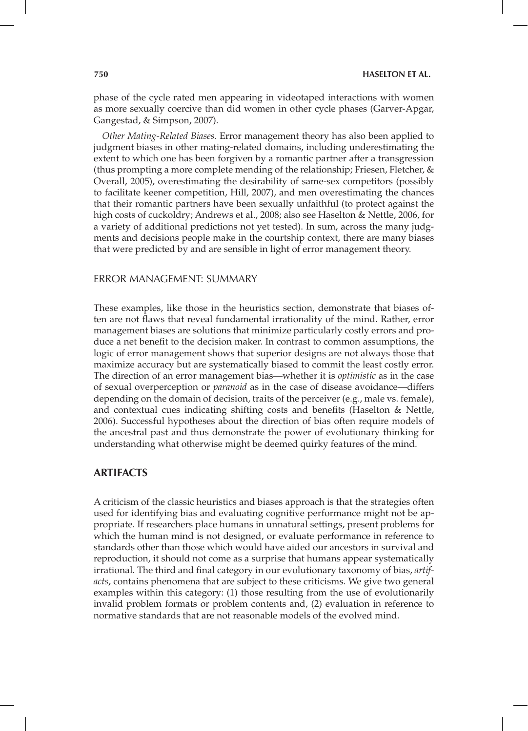phase of the cycle rated men appearing in videotaped interactions with women as more sexually coercive than did women in other cycle phases (Garver-Apgar, Gangestad, & Simpson, 2007).

*Other Mating-Related Biases.* Error management theory has also been applied to judgment biases in other mating-related domains, including underestimating the extent to which one has been forgiven by a romantic partner after a transgression (thus prompting a more complete mending of the relationship; Friesen, Fletcher, & Overall, 2005), overestimating the desirability of same-sex competitors (possibly to facilitate keener competition, Hill, 2007), and men overestimating the chances that their romantic partners have been sexually unfaithful (to protect against the high costs of cuckoldry; Andrews et al., 2008; also see Haselton & Nettle, 2006, for a variety of additional predictions not yet tested). In sum, across the many judgments and decisions people make in the courtship context, there are many biases that were predicted by and are sensible in light of error management theory.

### Error Management: Summary

These examples, like those in the heuristics section, demonstrate that biases often are not flaws that reveal fundamental irrationality of the mind. Rather, error management biases are solutions that minimize particularly costly errors and produce a net benefit to the decision maker. In contrast to common assumptions, the logic of error management shows that superior designs are not always those that maximize accuracy but are systematically biased to commit the least costly error. The direction of an error management bias—whether it is *optimistic* as in the case of sexual overperception or *paranoid* as in the case of disease avoidance—differs depending on the domain of decision, traits of the perceiver (e.g., male vs. female), and contextual cues indicating shifting costs and benefits (Haselton & Nettle, 2006). Successful hypotheses about the direction of bias often require models of the ancestral past and thus demonstrate the power of evolutionary thinking for understanding what otherwise might be deemed quirky features of the mind.

### **Artifacts**

A criticism of the classic heuristics and biases approach is that the strategies often used for identifying bias and evaluating cognitive performance might not be appropriate. If researchers place humans in unnatural settings, present problems for which the human mind is not designed, or evaluate performance in reference to standards other than those which would have aided our ancestors in survival and reproduction, it should not come as a surprise that humans appear systematically irrational. The third and final category in our evolutionary taxonomy of bias, *artifacts*, contains phenomena that are subject to these criticisms. We give two general examples within this category: (1) those resulting from the use of evolutionarily invalid problem formats or problem contents and, (2) evaluation in reference to normative standards that are not reasonable models of the evolved mind.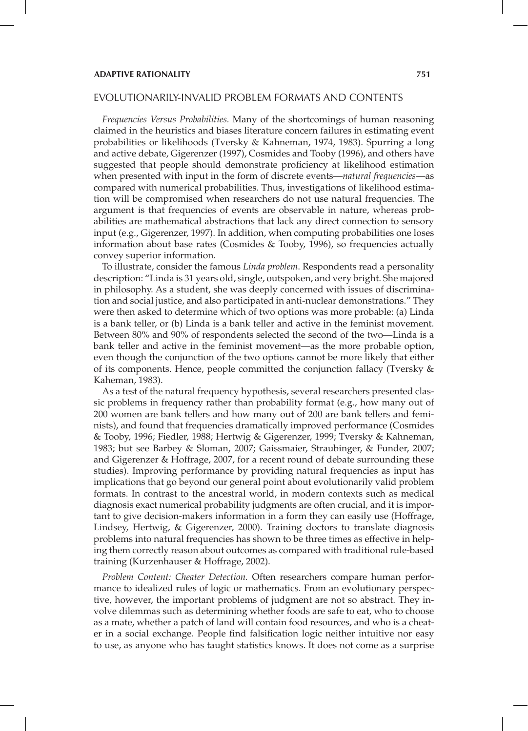### Evolutionarily-Invalid Problem Formats and Contents

*Frequencies Versus Probabilities.* Many of the shortcomings of human reasoning claimed in the heuristics and biases literature concern failures in estimating event probabilities or likelihoods (Tversky & Kahneman, 1974, 1983). Spurring a long and active debate, Gigerenzer (1997), Cosmides and Tooby (1996), and others have suggested that people should demonstrate proficiency at likelihood estimation when presented with input in the form of discrete events—*natural frequencies*—as compared with numerical probabilities. Thus, investigations of likelihood estimation will be compromised when researchers do not use natural frequencies. The argument is that frequencies of events are observable in nature, whereas probabilities are mathematical abstractions that lack any direct connection to sensory input (e.g., Gigerenzer, 1997). In addition, when computing probabilities one loses information about base rates (Cosmides & Tooby, 1996), so frequencies actually convey superior information.

To illustrate, consider the famous *Linda problem*. Respondents read a personality description: "Linda is 31 years old, single, outspoken, and very bright. She majored in philosophy. As a student, she was deeply concerned with issues of discrimination and social justice, and also participated in anti-nuclear demonstrations." They were then asked to determine which of two options was more probable: (a) Linda is a bank teller, or (b) Linda is a bank teller and active in the feminist movement. Between 80% and 90% of respondents selected the second of the two—Linda is a bank teller and active in the feminist movement—as the more probable option, even though the conjunction of the two options cannot be more likely that either of its components. Hence, people committed the conjunction fallacy (Tversky & Kaheman, 1983).

As a test of the natural frequency hypothesis, several researchers presented classic problems in frequency rather than probability format (e.g., how many out of 200 women are bank tellers and how many out of 200 are bank tellers and feminists), and found that frequencies dramatically improved performance (Cosmides & Tooby, 1996; Fiedler, 1988; Hertwig & Gigerenzer, 1999; Tversky & Kahneman, 1983; but see Barbey & Sloman, 2007; Gaissmaier, Straubinger, & Funder, 2007; and Gigerenzer & Hoffrage, 2007, for a recent round of debate surrounding these studies). Improving performance by providing natural frequencies as input has implications that go beyond our general point about evolutionarily valid problem formats. In contrast to the ancestral world, in modern contexts such as medical diagnosis exact numerical probability judgments are often crucial, and it is important to give decision-makers information in a form they can easily use (Hoffrage, Lindsey, Hertwig, & Gigerenzer, 2000). Training doctors to translate diagnosis problems into natural frequencies has shown to be three times as effective in helping them correctly reason about outcomes as compared with traditional rule-based training (Kurzenhauser & Hoffrage, 2002).

*Problem Content: Cheater Detection.* Often researchers compare human performance to idealized rules of logic or mathematics. From an evolutionary perspective, however, the important problems of judgment are not so abstract. They involve dilemmas such as determining whether foods are safe to eat, who to choose as a mate, whether a patch of land will contain food resources, and who is a cheater in a social exchange. People find falsification logic neither intuitive nor easy to use, as anyone who has taught statistics knows. It does not come as a surprise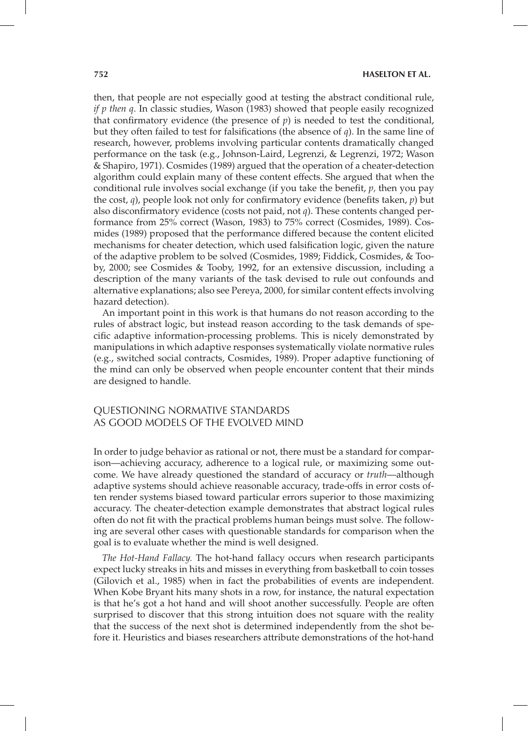then, that people are not especially good at testing the abstract conditional rule, *if p then q*. In classic studies, Wason (1983) showed that people easily recognized that confirmatory evidence (the presence of  $p$ ) is needed to test the conditional, but they often failed to test for falsifications (the absence of *q*). In the same line of research, however, problems involving particular contents dramatically changed performance on the task (e.g., Johnson-Laird, Legrenzi, & Legrenzi, 1972; Wason & Shapiro, 1971). Cosmides (1989) argued that the operation of a cheater-detection algorithm could explain many of these content effects. She argued that when the conditional rule involves social exchange (if you take the benefit, *p,* then you pay the cost, *q*), people look not only for confirmatory evidence (benefits taken, *p*) but also disconfirmatory evidence (costs not paid, not *q*). These contents changed performance from 25% correct (Wason, 1983) to 75% correct (Cosmides, 1989). Cosmides (1989) proposed that the performance differed because the content elicited mechanisms for cheater detection, which used falsification logic, given the nature of the adaptive problem to be solved (Cosmides, 1989; Fiddick, Cosmides, & Tooby, 2000; see Cosmides & Tooby, 1992, for an extensive discussion, including a description of the many variants of the task devised to rule out confounds and alternative explanations; also see Pereya, 2000, for similar content effects involving hazard detection).

An important point in this work is that humans do not reason according to the rules of abstract logic, but instead reason according to the task demands of specific adaptive information-processing problems. This is nicely demonstrated by manipulations in which adaptive responses systematically violate normative rules (e.g., switched social contracts, Cosmides, 1989). Proper adaptive functioning of the mind can only be observed when people encounter content that their minds are designed to handle.

### Questioning Normative Standards as Good Models of the Evolved Mind

In order to judge behavior as rational or not, there must be a standard for comparison—achieving accuracy, adherence to a logical rule, or maximizing some outcome. We have already questioned the standard of accuracy or *truth*—although adaptive systems should achieve reasonable accuracy, trade-offs in error costs often render systems biased toward particular errors superior to those maximizing accuracy. The cheater-detection example demonstrates that abstract logical rules often do not fit with the practical problems human beings must solve. The following are several other cases with questionable standards for comparison when the goal is to evaluate whether the mind is well designed.

*The Hot-Hand Fallacy.* The hot-hand fallacy occurs when research participants expect lucky streaks in hits and misses in everything from basketball to coin tosses (Gilovich et al., 1985) when in fact the probabilities of events are independent. When Kobe Bryant hits many shots in a row, for instance, the natural expectation is that he's got a hot hand and will shoot another successfully. People are often surprised to discover that this strong intuition does not square with the reality that the success of the next shot is determined independently from the shot before it. Heuristics and biases researchers attribute demonstrations of the hot-hand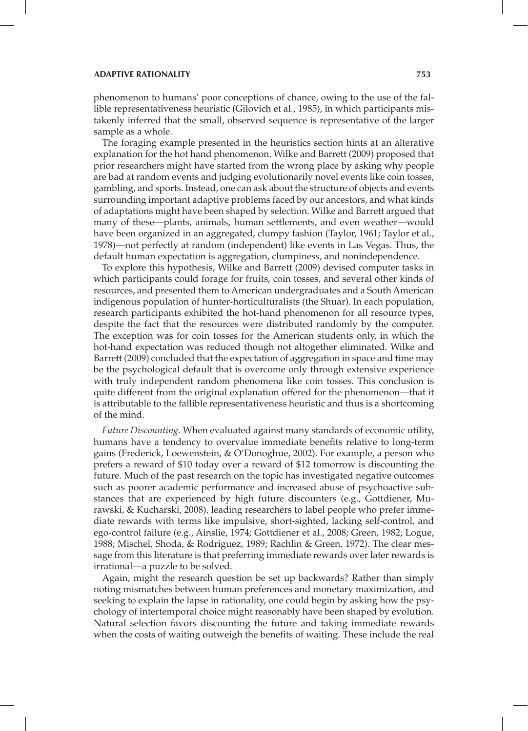phenomenon to humans' poor conceptions of chance, owing to the use of the fallible representativeness heuristic (Gilovich et al., 1985), in which participants mistakenly inferred that the small, observed sequence is representative of the larger sample as a whole.

The foraging example presented in the heuristics section hints at an alterative explanation for the hot hand phenomenon. Wilke and Barrett (2009) proposed that prior researchers might have started from the wrong place by asking why people are bad at random events and judging evolutionarily novel events like coin tosses, gambling, and sports. Instead, one can ask about the structure of objects and events surrounding important adaptive problems faced by our ancestors, and what kinds of adaptations might have been shaped by selection. Wilke and Barrett argued that many of these—plants, animals, human settlements, and even weather—would have been organized in an aggregated, clumpy fashion (Taylor, 1961; Taylor et al., 1978)—not perfectly at random (independent) like events in Las Vegas. Thus, the default human expectation is aggregation, clumpiness, and nonindependence.

To explore this hypothesis, Wilke and Barrett (2009) devised computer tasks in which participants could forage for fruits, coin tosses, and several other kinds of resources, and presented them to American undergraduates and a South American indigenous population of hunter-horticulturalists (the Shuar). In each population, research participants exhibited the hot-hand phenomenon for all resource types, despite the fact that the resources were distributed randomly by the computer. The exception was for coin tosses for the American students only, in which the hot-hand expectation was reduced though not altogether eliminated. Wilke and Barrett (2009) concluded that the expectation of aggregation in space and time may be the psychological default that is overcome only through extensive experience with truly independent random phenomena like coin tosses. This conclusion is quite different from the original explanation offered for the phenomenon—that it is attributable to the fallible representativeness heuristic and thus is a shortcoming of the mind.

*Future Discounting.* When evaluated against many standards of economic utility, humans have a tendency to overvalue immediate benefits relative to long-term gains (Frederick, Loewenstein, & O'Donoghue, 2002). For example, a person who prefers a reward of \$10 today over a reward of \$12 tomorrow is discounting the future. Much of the past research on the topic has investigated negative outcomes such as poorer academic performance and increased abuse of psychoactive substances that are experienced by high future discounters (e.g., Gottdiener, Murawski, & Kucharski, 2008), leading researchers to label people who prefer immediate rewards with terms like impulsive, short-sighted, lacking self-control, and ego-control failure (e.g., Ainslie, 1974; Gottdiener et al., 2008; Green, 1982; Logue, 1988; Mischel, Shoda, & Rodriguez, 1989; Rachlin & Green, 1972). The clear message from this literature is that preferring immediate rewards over later rewards is irrational—a puzzle to be solved.

Again, might the research question be set up backwards? Rather than simply noting mismatches between human preferences and monetary maximization, and seeking to explain the lapse in rationality, one could begin by asking how the psychology of intertemporal choice might reasonably have been shaped by evolution. Natural selection favors discounting the future and taking immediate rewards when the costs of waiting outweigh the benefits of waiting. These include the real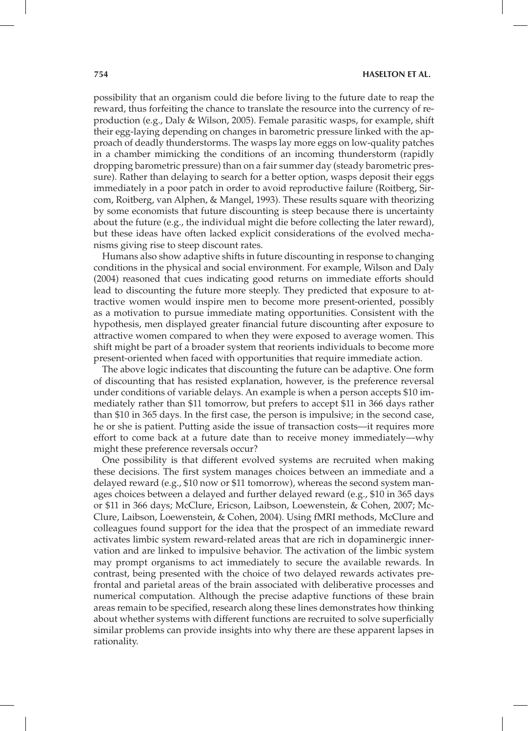possibility that an organism could die before living to the future date to reap the reward, thus forfeiting the chance to translate the resource into the currency of reproduction (e.g., Daly & Wilson, 2005). Female parasitic wasps, for example, shift their egg-laying depending on changes in barometric pressure linked with the approach of deadly thunderstorms. The wasps lay more eggs on low-quality patches in a chamber mimicking the conditions of an incoming thunderstorm (rapidly dropping barometric pressure) than on a fair summer day (steady barometric pressure). Rather than delaying to search for a better option, wasps deposit their eggs immediately in a poor patch in order to avoid reproductive failure (Roitberg, Sircom, Roitberg, van Alphen, & Mangel, 1993). These results square with theorizing by some economists that future discounting is steep because there is uncertainty about the future (e.g., the individual might die before collecting the later reward), but these ideas have often lacked explicit considerations of the evolved mechanisms giving rise to steep discount rates.

Humans also show adaptive shifts in future discounting in response to changing conditions in the physical and social environment. For example, Wilson and Daly (2004) reasoned that cues indicating good returns on immediate efforts should lead to discounting the future more steeply. They predicted that exposure to attractive women would inspire men to become more present-oriented, possibly as a motivation to pursue immediate mating opportunities. Consistent with the hypothesis, men displayed greater financial future discounting after exposure to attractive women compared to when they were exposed to average women. This shift might be part of a broader system that reorients individuals to become more present-oriented when faced with opportunities that require immediate action.

The above logic indicates that discounting the future can be adaptive. One form of discounting that has resisted explanation, however, is the preference reversal under conditions of variable delays. An example is when a person accepts \$10 immediately rather than \$11 tomorrow, but prefers to accept \$11 in 366 days rather than \$10 in 365 days. In the first case, the person is impulsive; in the second case, he or she is patient. Putting aside the issue of transaction costs—it requires more effort to come back at a future date than to receive money immediately—why might these preference reversals occur?

One possibility is that different evolved systems are recruited when making these decisions. The first system manages choices between an immediate and a delayed reward (e.g., \$10 now or \$11 tomorrow), whereas the second system manages choices between a delayed and further delayed reward (e.g., \$10 in 365 days or \$11 in 366 days; McClure, Ericson, Laibson, Loewenstein, & Cohen, 2007; Mc-Clure, Laibson, Loewenstein, & Cohen, 2004). Using fMRI methods, McClure and colleagues found support for the idea that the prospect of an immediate reward activates limbic system reward-related areas that are rich in dopaminergic innervation and are linked to impulsive behavior. The activation of the limbic system may prompt organisms to act immediately to secure the available rewards. In contrast, being presented with the choice of two delayed rewards activates prefrontal and parietal areas of the brain associated with deliberative processes and numerical computation. Although the precise adaptive functions of these brain areas remain to be specified, research along these lines demonstrates how thinking about whether systems with different functions are recruited to solve superficially similar problems can provide insights into why there are these apparent lapses in rationality.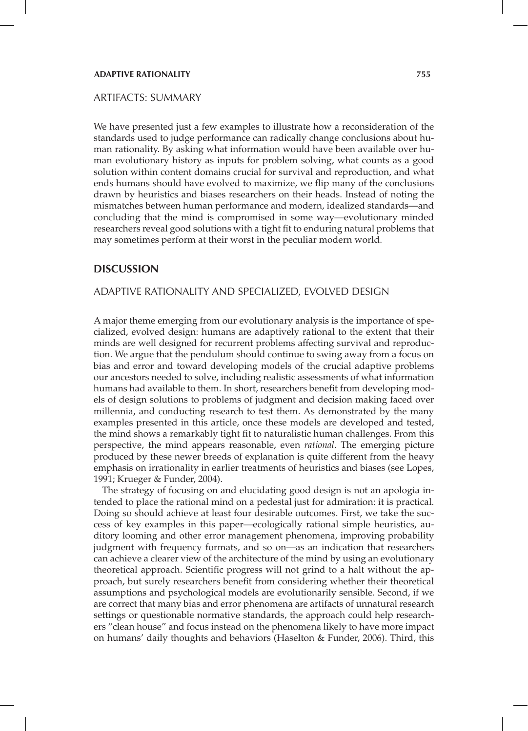### Artifacts: Summary

We have presented just a few examples to illustrate how a reconsideration of the standards used to judge performance can radically change conclusions about human rationality. By asking what information would have been available over human evolutionary history as inputs for problem solving, what counts as a good solution within content domains crucial for survival and reproduction, and what ends humans should have evolved to maximize, we flip many of the conclusions drawn by heuristics and biases researchers on their heads. Instead of noting the mismatches between human performance and modern, idealized standards—and concluding that the mind is compromised in some way—evolutionary minded researchers reveal good solutions with a tight fit to enduring natural problems that may sometimes perform at their worst in the peculiar modern world.

### **Discussion**

### Adaptive Rationality and Specialized, Evolved Design

A major theme emerging from our evolutionary analysis is the importance of specialized, evolved design: humans are adaptively rational to the extent that their minds are well designed for recurrent problems affecting survival and reproduction. We argue that the pendulum should continue to swing away from a focus on bias and error and toward developing models of the crucial adaptive problems our ancestors needed to solve, including realistic assessments of what information humans had available to them. In short, researchers benefit from developing models of design solutions to problems of judgment and decision making faced over millennia, and conducting research to test them. As demonstrated by the many examples presented in this article, once these models are developed and tested, the mind shows a remarkably tight fit to naturalistic human challenges. From this perspective, the mind appears reasonable, even *rational*. The emerging picture produced by these newer breeds of explanation is quite different from the heavy emphasis on irrationality in earlier treatments of heuristics and biases (see Lopes, 1991; Krueger & Funder, 2004).

The strategy of focusing on and elucidating good design is not an apologia intended to place the rational mind on a pedestal just for admiration: it is practical. Doing so should achieve at least four desirable outcomes. First, we take the success of key examples in this paper—ecologically rational simple heuristics, auditory looming and other error management phenomena, improving probability judgment with frequency formats, and so on—as an indication that researchers can achieve a clearer view of the architecture of the mind by using an evolutionary theoretical approach. Scientific progress will not grind to a halt without the approach, but surely researchers benefit from considering whether their theoretical assumptions and psychological models are evolutionarily sensible. Second, if we are correct that many bias and error phenomena are artifacts of unnatural research settings or questionable normative standards, the approach could help researchers "clean house" and focus instead on the phenomena likely to have more impact on humans' daily thoughts and behaviors (Haselton & Funder, 2006). Third, this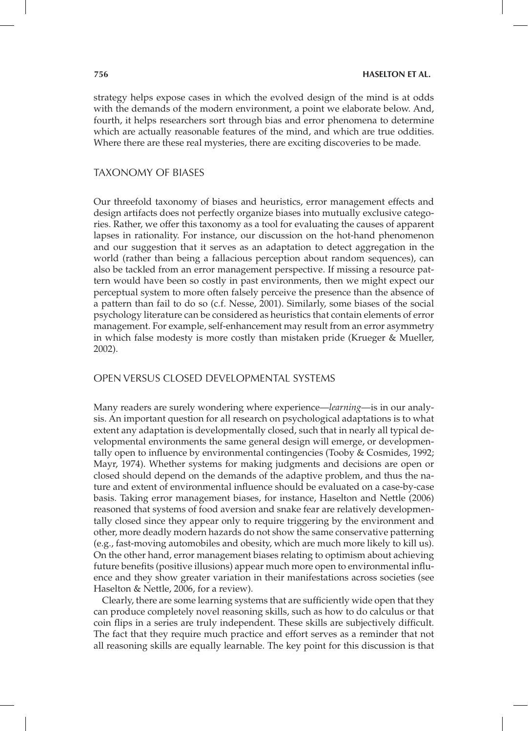strategy helps expose cases in which the evolved design of the mind is at odds with the demands of the modern environment, a point we elaborate below. And, fourth, it helps researchers sort through bias and error phenomena to determine which are actually reasonable features of the mind, and which are true oddities. Where there are these real mysteries, there are exciting discoveries to be made.

### Taxonomy of biases

Our threefold taxonomy of biases and heuristics, error management effects and design artifacts does not perfectly organize biases into mutually exclusive categories. Rather, we offer this taxonomy as a tool for evaluating the causes of apparent lapses in rationality. For instance, our discussion on the hot-hand phenomenon and our suggestion that it serves as an adaptation to detect aggregation in the world (rather than being a fallacious perception about random sequences), can also be tackled from an error management perspective. If missing a resource pattern would have been so costly in past environments, then we might expect our perceptual system to more often falsely perceive the presence than the absence of a pattern than fail to do so (c.f. Nesse, 2001). Similarly, some biases of the social psychology literature can be considered as heuristics that contain elements of error management. For example, self-enhancement may result from an error asymmetry in which false modesty is more costly than mistaken pride (Krueger & Mueller, 2002).

### Open versus Closed Developmental Systems

Many readers are surely wondering where experience—*learning*—is in our analysis. An important question for all research on psychological adaptations is to what extent any adaptation is developmentally closed, such that in nearly all typical developmental environments the same general design will emerge, or developmentally open to influence by environmental contingencies (Tooby & Cosmides, 1992; Mayr, 1974). Whether systems for making judgments and decisions are open or closed should depend on the demands of the adaptive problem, and thus the nature and extent of environmental influence should be evaluated on a case-by-case basis. Taking error management biases, for instance, Haselton and Nettle (2006) reasoned that systems of food aversion and snake fear are relatively developmentally closed since they appear only to require triggering by the environment and other, more deadly modern hazards do not show the same conservative patterning (e.g., fast-moving automobiles and obesity, which are much more likely to kill us). On the other hand, error management biases relating to optimism about achieving future benefits (positive illusions) appear much more open to environmental influence and they show greater variation in their manifestations across societies (see Haselton & Nettle, 2006, for a review).

Clearly, there are some learning systems that are sufficiently wide open that they can produce completely novel reasoning skills, such as how to do calculus or that coin flips in a series are truly independent. These skills are subjectively difficult. The fact that they require much practice and effort serves as a reminder that not all reasoning skills are equally learnable. The key point for this discussion is that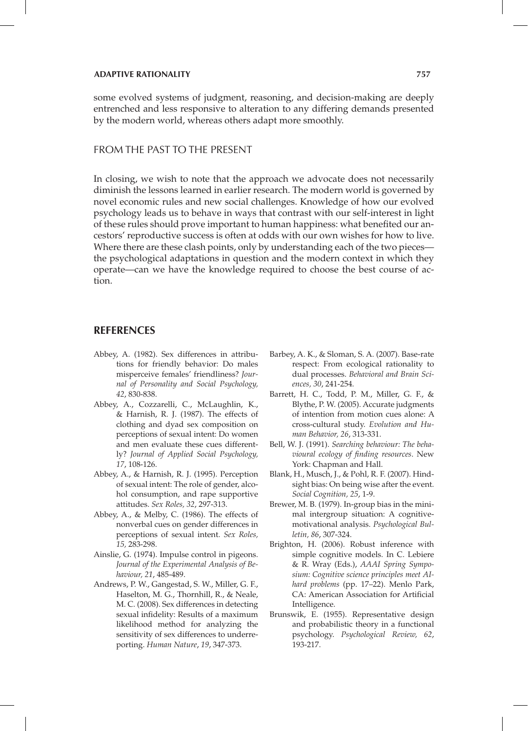some evolved systems of judgment, reasoning, and decision-making are deeply entrenched and less responsive to alteration to any differing demands presented by the modern world, whereas others adapt more smoothly.

### From the Past to the Present

In closing, we wish to note that the approach we advocate does not necessarily diminish the lessons learned in earlier research. The modern world is governed by novel economic rules and new social challenges. Knowledge of how our evolved psychology leads us to behave in ways that contrast with our self-interest in light of these rules should prove important to human happiness: what benefited our ancestors' reproductive success is often at odds with our own wishes for how to live. Where there are these clash points, only by understanding each of the two pieces the psychological adaptations in question and the modern context in which they operate—can we have the knowledge required to choose the best course of action.

### **References**

- Abbey, A. (1982). Sex differences in attributions for friendly behavior: Do males misperceive females' friendliness? *Journal of Personality and Social Psychology, 42*, 830-838.
- Abbey, A., Cozzarelli, C., McLaughlin, K., & Harnish, R. J. (1987). The effects of clothing and dyad sex composition on perceptions of sexual intent: Do women and men evaluate these cues differently? *Journal of Applied Social Psychology, 17*, 108-126.
- Abbey, A., & Harnish, R. J. (1995). Perception of sexual intent: The role of gender, alcohol consumption, and rape supportive attitudes. *Sex Roles, 32*, 297-313.
- Abbey, A., & Melby, C. (1986). The effects of nonverbal cues on gender differences in perceptions of sexual intent. *Sex Roles, 15,* 283-298.
- Ainslie, G. (1974). Impulse control in pigeons. *Journal of the Experimental Analysis of Behaviour, 21*, 485-489.
- Andrews, P. W., Gangestad, S. W., Miller, G. F., Haselton, M. G., Thornhill, R., & Neale, M. C. (2008). Sex differences in detecting sexual infidelity: Results of a maximum likelihood method for analyzing the sensitivity of sex differences to underreporting. *Human Nature*, *19*, 347-373.
- Barbey, A. K., & Sloman, S. A. (2007). Base-rate respect: From ecological rationality to dual processes. *Behavioral and Brain Sciences, 30*, 241-254.
- Barrett, H. C., Todd, P. M., Miller, G. F., & Blythe, P. W. (2005). Accurate judgments of intention from motion cues alone: A cross-cultural study. *Evolution and Human Behavior, 26*, 313-331.
- Bell, W. J. (1991). *Searching behaviour: The behavioural ecology of finding resources*. New York: Chapman and Hall.
- Blank, H., Musch, J., & Pohl, R. F. (2007). Hindsight bias: On being wise after the event. *Social Cognition, 25*, 1-9.
- Brewer, M. B. (1979). In-group bias in the minimal intergroup situation: A cognitivemotivational analysis. *Psychological Bulletin, 86*, 307-324.
- Brighton, H. (2006). Robust inference with simple cognitive models. In C. Lebiere & R. Wray (Eds.), *AAAI Spring Symposium: Cognitive science principles meet AIhard problems* (pp. 17–22). Menlo Park, CA: American Association for Artificial Intelligence.
- Brunswik, E. (1955). Representative design and probabilistic theory in a functional psychology. *Psychological Review, 62*, 193-217.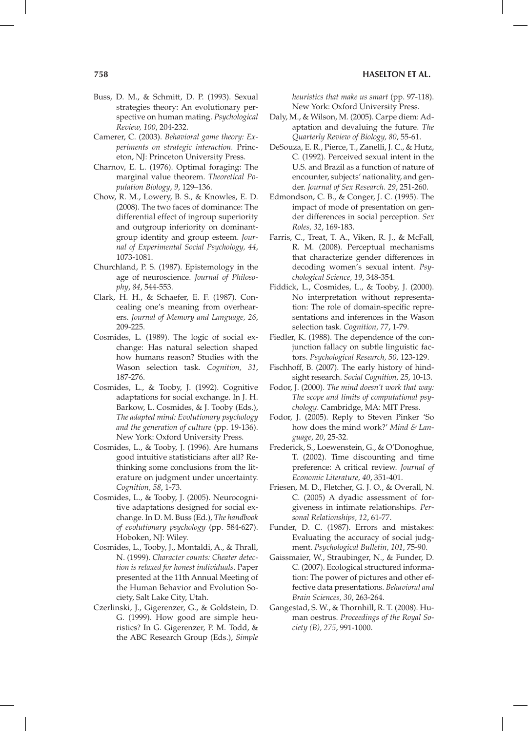### **758 HASELTON ET AL.**

- Buss, D. M., & Schmitt, D. P. (1993). Sexual strategies theory: An evolutionary perspective on human mating. *Psychological Review, 100*, 204-232.
- Camerer, C. (2003). *Behavioral game theory: Experiments on strategic interaction.* Princeton, NJ: Princeton University Press.
- Charnov, E. L. (1976). Optimal foraging: The marginal value theorem. *Theoretical Population Biology*, *9*, 129–136.
- Chow, R. M., Lowery, B. S., & Knowles, E. D. (2008). The two faces of dominance: The differential effect of ingroup superiority and outgroup inferiority on dominantgroup identity and group esteem. *Journal of Experimental Social Psychology, 44*, 1073-1081.
- Churchland, P. S. (1987). Epistemology in the age of neuroscience. *Journal of Philosophy*, *84*, 544-553.
- Clark, H. H., & Schaefer, E. F. (1987). Concealing one's meaning from overhearers. *Journal of Memory and Language, 26*, 209-225.
- Cosmides, L. (1989). The logic of social exchange: Has natural selection shaped how humans reason? Studies with the Wason selection task. *Cognition, 31*, 187-276.
- Cosmides, L., & Tooby, J. (1992). Cognitive adaptations for social exchange. In J. H. Barkow, L. Cosmides, & J. Tooby (Eds.), *The adapted mind: Evolutionary psychology and the generation of culture* (pp. 19-136). New York: Oxford University Press.
- Cosmides, L., & Tooby, J. (1996). Are humans good intuitive statisticians after all? Rethinking some conclusions from the literature on judgment under uncertainty. *Cognition, 58*, 1-73.
- Cosmides, L., & Tooby, J. (2005). Neurocognitive adaptations designed for social exchange. In D. M. Buss (Ed.), *The handbook of evolutionary psychology* (pp. 584-627). Hoboken, NJ: Wiley.
- Cosmides, L., Tooby, J., Montaldi, A., & Thrall, N. (1999). *Character counts: Cheater detection is relaxed for honest individuals*. Paper presented at the 11th Annual Meeting of the Human Behavior and Evolution Society, Salt Lake City, Utah.
- Czerlinski, J., Gigerenzer, G., & Goldstein, D. G. (1999). How good are simple heuristics? In G. Gigerenzer, P. M. Todd, & the ABC Research Group (Eds.), *Simple*

*heuristics that make us smart* (pp. 97-118). New York: Oxford University Press.

- Daly, M., & Wilson, M. (2005). Carpe diem: Adaptation and devaluing the future. *The Quarterly Review of Biology, 80*, 55-61.
- DeSouza, E. R., Pierce, T., Zanelli, J. C., & Hutz, C. (1992). Perceived sexual intent in the U.S. and Brazil as a function of nature of encounter, subjects' nationality, and gender. *Journal of Sex Research. 29*, 251-260.
- Edmondson, C. B., & Conger, J. C. (1995). The impact of mode of presentation on gender differences in social perception. *Sex Roles, 32*, 169-183.
- Farris, C., Treat, T. A., Viken, R. J., & McFall, R. M. (2008). Perceptual mechanisms that characterize gender differences in decoding women's sexual intent. *Psychological Science, 19*, 348-354.
- Fiddick, L., Cosmides, L., & Tooby, J. (2000). No interpretation without representation: The role of domain-specific representations and inferences in the Wason selection task. *Cognition, 77*, 1-79.
- Fiedler, K. (1988). The dependence of the conjunction fallacy on subtle linguistic factors. *Psychological Research, 50,* 123-129.
- Fischhoff, B. (2007). The early history of hindsight research. *Social Cognition, 25*, 10-13.
- Fodor, J. (2000). *The mind doesn't work that way: The scope and limits of computational psychology*. Cambridge, MA: MIT Press.
- Fodor, J. (2005). Reply to Steven Pinker 'So how does the mind work?' *Mind & Language*, *20*, 25-32.
- Frederick, S., Loewenstein, G., & O'Donoghue, T. (2002). Time discounting and time preference: A critical review. *Journal of Economic Literature, 40*, 351-401.
- Friesen, M. D., Fletcher, G. J. O., & Overall, N. C. (2005) A dyadic assessment of forgiveness in intimate relationships. *Personal Relationships, 12*, 61-77.
- Funder, D. C. (1987). Errors and mistakes: Evaluating the accuracy of social judgment. *Psychological Bulletin, 101*, 75-90.
- Gaissmaier, W., Straubinger, N., & Funder, D. C. (2007). Ecological structured information: The power of pictures and other effective data presentations. *Behavioral and Brain Sciences, 30*, 263-264.
- Gangestad, S. W., & Thornhill, R. T. (2008). Human oestrus. *Proceedings of the Royal Society (B), 275*, 991-1000.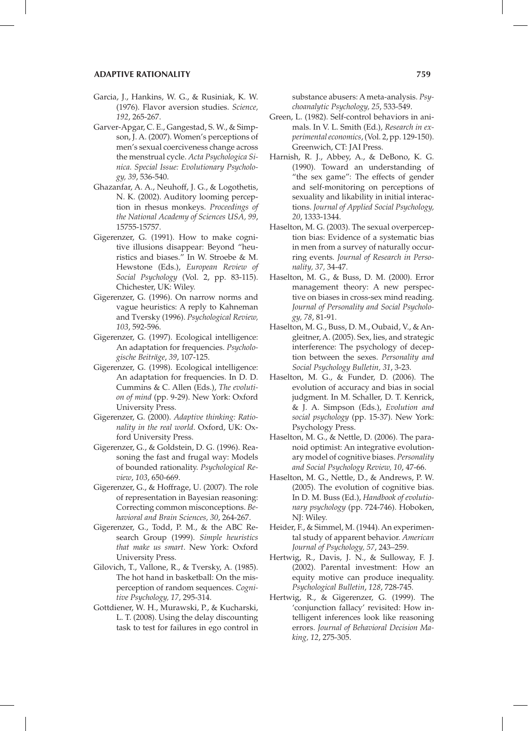- Garcia, J., Hankins, W. G., & Rusiniak, K. W. (1976). Flavor aversion studies. *Science, 192*, 265-267.
- Garver-Apgar, C. E., Gangestad, S. W., & Simpson, J. A. (2007). Women's perceptions of men's sexual coerciveness change across the menstrual cycle. *Acta Psychologica Sinica. Special Issue: Evolutionary Psychology, 39*, 536-540.
- Ghazanfar, A. A., Neuhoff, J. G., & Logothetis, N. K. (2002). Auditory looming perception in rhesus monkeys. *Proceedings of the National Academy of Sciences USA, 99*, 15755-15757.
- Gigerenzer, G. (1991). How to make cognitive illusions disappear: Beyond "heuristics and biases." In W. Stroebe & M. Hewstone (Eds.), *European Review of Social Psychology* (Vol. 2, pp. 83-115). Chichester, UK: Wiley.
- Gigerenzer, G. (1996). On narrow norms and vague heuristics: A reply to Kahneman and Tversky (1996). *Psychological Review, 103*, 592-596.
- Gigerenzer, G. (1997). Ecological intelligence: An adaptation for frequencies. *Psychologische Beiträge*, *39*, 107-125.
- Gigerenzer, G. (1998). Ecological intelligence: An adaptation for frequencies. In D. D. Cummins & C. Allen (Eds.), *The evolution of mind* (pp. 9-29). New York: Oxford University Press.
- Gigerenzer, G. (2000). *Adaptive thinking: Rationality in the real world*. Oxford, UK: Oxford University Press.
- Gigerenzer, G., & Goldstein, D. G. (1996). Reasoning the fast and frugal way: Models of bounded rationality. *Psychological Review*, *103*, 650-669.
- Gigerenzer, G., & Hoffrage, U. (2007). The role of representation in Bayesian reasoning: Correcting common misconceptions. *Behavioral and Brain Sciences, 30*, 264-267.
- Gigerenzer, G., Todd, P. M., & the ABC Research Group (1999). *Simple heuristics that make us smart*. New York: Oxford University Press.
- Gilovich, T., Vallone, R., & Tversky, A. (1985). The hot hand in basketball: On the misperception of random sequences. *Cognitive Psychology, 17,* 295-314.
- Gottdiener, W. H., Murawski, P., & Kucharski, L. T. (2008). Using the delay discounting task to test for failures in ego control in

substance abusers: A meta-analysis. *Psychoanalytic Psychology, 25*, 533-549.

- Green, L. (1982). Self-control behaviors in animals. In V. L. Smith (Ed.), *Research in experimental economics*, (Vol. 2, pp. 129-150). Greenwich, CT: JAI Press.
- Harnish, R. J., Abbey, A., & DeBono, K. G. (1990). Toward an understanding of "the sex game": The effects of gender and self-monitoring on perceptions of sexuality and likability in initial interactions. *Journal of Applied Social Psychology, 20*, 1333-1344.
- Haselton, M. G. (2003). The sexual overperception bias: Evidence of a systematic bias in men from a survey of naturally occurring events. *Journal of Research in Personality, 37,* 34-47.
- Haselton, M. G., & Buss, D. M. (2000). Error management theory: A new perspective on biases in cross-sex mind reading. *Journal of Personality and Social Psychology, 78*, 81-91.
- Haselton, M. G., Buss, D. M., Oubaid, V., & Angleitner, A. (2005). Sex, lies, and strategic interference: The psychology of deception between the sexes. *Personality and Social Psychology Bulletin, 31*, 3-23.
- Haselton, M. G., & Funder, D. (2006). The evolution of accuracy and bias in social judgment. In M. Schaller, D. T. Kenrick, & J. A. Simpson (Eds.), *Evolution and social psychology* (pp. 15-37). New York: Psychology Press.
- Haselton, M. G., & Nettle, D. (2006). The paranoid optimist: An integrative evolutionary model of cognitive biases. *Personality and Social Psychology Review, 10*, 47-66.
- Haselton, M. G., Nettle, D., & Andrews, P. W. (2005). The evolution of cognitive bias. In D. M. Buss (Ed.), *Handbook of evolutionary psychology* (pp. 724-746). Hoboken, NJ: Wiley.
- Heider, F., & Simmel, M. (1944). An experimental study of apparent behavior. *American Journal of Psychology, 57*, 243–259.
- Hertwig, R., Davis, J. N., & Sulloway, F. J. (2002). Parental investment: How an equity motive can produce inequality. *Psychological Bulletin*, *128*, 728-745.
- Hertwig, R., & Gigerenzer, G. (1999). The 'conjunction fallacy' revisited: How intelligent inferences look like reasoning errors. *Journal of Behavioral Decision Making, 12*, 275-305.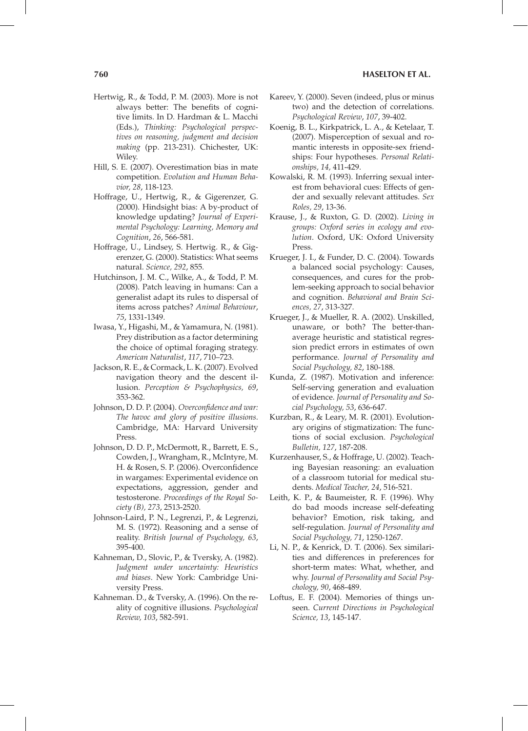### **760 HASELTON ET AL.**

- Hertwig, R., & Todd, P. M. (2003). More is not always better: The benefits of cognitive limits. In D. Hardman & L. Macchi (Eds.), *Thinking: Psychological perspectives on reasoning, judgment and decision making* (pp. 213-231). Chichester, UK: Wiley.
- Hill, S. E. (2007). Overestimation bias in mate competition. *Evolution and Human Behavior, 28*, 118-123.
- Hoffrage, U., Hertwig, R., & Gigerenzer, G. (2000). Hindsight bias: A by-product of knowledge updating? *Journal of Experimental Psychology: Learning, Memory and Cognition*, *26*, 566-581.
- Hoffrage, U., Lindsey, S. Hertwig. R., & Gigerenzer, G. (2000). Statistics: What seems natural. *Science, 292*, 855.
- Hutchinson, J. M. C., Wilke, A., & Todd, P. M. (2008). Patch leaving in humans: Can a generalist adapt its rules to dispersal of items across patches? *Animal Behaviour*, *75*, 1331-1349.
- Iwasa, Y., Higashi, M., & Yamamura, N. (1981). Prey distribution as a factor determining the choice of optimal foraging strategy. *American Naturalist*, *117*, 710–723.
- Jackson, R. E., & Cormack, L. K. (2007). Evolved navigation theory and the descent illusion. *Perception & Psychophysics, 69*, 353-362.
- Johnson, D. D. P. (2004). *Overconfidence and war: The havoc and glory of positive illusions*. Cambridge, MA: Harvard University Press.
- Johnson, D. D. P., McDermott, R., Barrett, E. S., Cowden, J., Wrangham, R., McIntyre, M. H. & Rosen, S. P. (2006). Overconfidence in wargames: Experimental evidence on expectations, aggression, gender and testosterone. *Proceedings of the Royal Society (B), 273*, 2513-2520.
- Johnson-Laird, P. N., Legrenzi, P., & Legrenzi, M. S. (1972). Reasoning and a sense of reality. *British Journal of Psychology, 63*, 395-400.
- Kahneman, D., Slovic, P., & Tversky, A. (1982). *Judgment under uncertainty: Heuristics and biases*. New York: Cambridge University Press.
- Kahneman. D., & Tversky, A. (1996). On the reality of cognitive illusions. *Psychological Review, 103*, 582-591.
- Kareev, Y. (2000). Seven (indeed, plus or minus two) and the detection of correlations. *Psychological Review*, *107*, 39-402.
- Koenig, B. L., Kirkpatrick, L. A., & Ketelaar, T. (2007). Misperception of sexual and romantic interests in opposite-sex friendships: Four hypotheses. *Personal Relationships, 14,* 411-429.
- Kowalski, R. M. (1993). Inferring sexual interest from behavioral cues: Effects of gender and sexually relevant attitudes. *Sex Roles, 29*, 13-36.
- Krause, J., & Ruxton, G. D. (2002). *Living in groups: Oxford series in ecology and evolution*. Oxford, UK: Oxford University Press.
- Krueger, J. I., & Funder, D. C. (2004). Towards a balanced social psychology: Causes, consequences, and cures for the problem-seeking approach to social behavior and cognition. *Behavioral and Brain Sciences, 27*, 313-327.
- Krueger, J., & Mueller, R. A. (2002). Unskilled, unaware, or both? The better-thanaverage heuristic and statistical regression predict errors in estimates of own performance. *Journal of Personality and Social Psychology, 82*, 180-188.
- Kunda, Z. (1987). Motivation and inference: Self-serving generation and evaluation of evidence. *Journal of Personality and Social Psychology, 53*, 636-647.
- Kurzban, R., & Leary, M. R. (2001). Evolutionary origins of stigmatization: The functions of social exclusion. *Psychological Bulletin, 127*, 187-208.
- Kurzenhauser, S., & Hoffrage, U. (2002). Teaching Bayesian reasoning: an evaluation of a classroom tutorial for medical students. *Medical Teacher, 24*, 516-521.
- Leith, K. P., & Baumeister, R. F. (1996). Why do bad moods increase self-defeating behavior? Emotion, risk taking, and self-regulation. *Journal of Personality and Social Psychology, 71*, 1250-1267.
- Li, N. P., & Kenrick, D. T. (2006). Sex similarities and differences in preferences for short-term mates: What, whether, and why. *Journal of Personality and Social Psychology, 90*, 468-489.
- Loftus, E. F. (2004). Memories of things unseen. *Current Directions in Psychological Science, 13*, 145-147.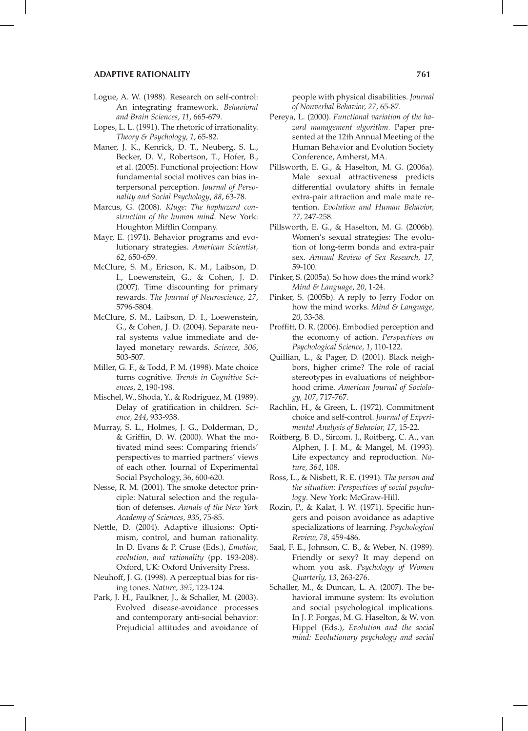- Logue, A. W. (1988). Research on self-control: An integrating framework. *Behavioral and Brain Sciences*, *11*, 665-679.
- Lopes, L. L. (1991). The rhetoric of irrationality. *Theory & Psychology, 1*, 65-82.
- Maner, J. K., Kenrick, D. T., Neuberg, S. L., Becker, D. V., Robertson, T., Hofer, B., et al. (2005). Functional projection: How fundamental social motives can bias interpersonal perception. *Journal of Personality and Social Psychology*, *88*, 63-78.
- Marcus, G. (2008). *Kluge: The haphazard construction of the human mind*. New York: Houghton Mifflin Company.
- Mayr, E. (1974). Behavior programs and evolutionary strategies. *American Scientist, 62*, 650-659.
- McClure, S. M., Ericson, K. M., Laibson, D. I., Loewenstein, G., & Cohen, J. D. (2007). Time discounting for primary rewards. *The Journal of Neuroscience*, *27*, 5796-5804.
- McClure, S. M., Laibson, D. I., Loewenstein, G., & Cohen, J. D. (2004). Separate neural systems value immediate and delayed monetary rewards. *Science*, *306*, 503-507.
- Miller, G. F., & Todd, P. M. (1998). Mate choice turns cognitive. *Trends in Cognitive Sciences*, *2*, 190-198.
- Mischel, W., Shoda, Y., & Rodriguez, M. (1989). Delay of gratification in children. *Science, 244*, 933-938.
- Murray, S. L., Holmes, J. G., Dolderman, D., & Griffin, D. W. (2000). What the motivated mind sees: Comparing friends' perspectives to married partners' views of each other. Journal of Experimental Social Psychology, 36, 600-620.
- Nesse, R. M. (2001). The smoke detector principle: Natural selection and the regulation of defenses. *Annals of the New York Academy of Sciences, 935*, 75-85.
- Nettle, D. (2004). Adaptive illusions: Optimism, control, and human rationality. In D. Evans & P. Cruse (Eds.), *Emotion, evolution, and rationality* (pp. 193-208). Oxford, UK: Oxford University Press.
- Neuhoff, J. G. (1998). A perceptual bias for rising tones. *Nature, 395*, 123-124.
- Park, J. H., Faulkner, J., & Schaller, M. (2003). Evolved disease-avoidance processes and contemporary anti-social behavior: Prejudicial attitudes and avoidance of

people with physical disabilities. *Journal of Nonverbal Behavior, 27*, 65-87.

- Pereya, L. (2000). *Functional variation of the hazard management algorithm.* Paper presented at the 12th Annual Meeting of the Human Behavior and Evolution Society Conference, Amherst, MA.
- Pillsworth, E. G., & Haselton, M. G. (2006a). Male sexual attractiveness predicts differential ovulatory shifts in female extra-pair attraction and male mate retention. *Evolution and Human Behavior, 27,* 247-258.
- Pillsworth, E. G., & Haselton, M. G. (2006b). Women's sexual strategies: The evolution of long-term bonds and extra-pair sex. *Annual Review of Sex Research, 17,* 59-100.
- Pinker, S. (2005a). So how does the mind work? *Mind & Language*, *20*, 1-24.
- Pinker, S. (2005b). A reply to Jerry Fodor on how the mind works. *Mind & Language*, *20*, 33-38.
- Proffitt, D. R. (2006). Embodied perception and the economy of action. *Perspectives on Psychological Science, 1*, 110-122.
- Quillian, L., & Pager, D. (2001). Black neighbors, higher crime? The role of racial stereotypes in evaluations of neighborhood crime. *American Journal of Sociology, 107*, 717-767.
- Rachlin, H., & Green, L. (1972). Commitment choice and self-control. *Journal of Experimental Analysis of Behavior, 17*, 15-22.
- Roitberg, B. D., Sircom. J., Roitberg, C. A., van Alphen, J. J. M., & Mangel, M. (1993). Life expectancy and reproduction. *Nature, 364*, 108.
- Ross, L., & Nisbett, R. E. (1991). *The person and the situation: Perspectives of social psychology*. New York: McGraw-Hill.
- Rozin, P., & Kalat, J. W. (1971). Specific hungers and poison avoidance as adaptive specializations of learning. *Psychological Review, 78*, 459-486.
- Saal, F. E., Johnson, C. B., & Weber, N. (1989). Friendly or sexy? It may depend on whom you ask. *Psychology of Women Quarterly, 13*, 263-276.
- Schaller, M., & Duncan, L. A. (2007). The behavioral immune system: Its evolution and social psychological implications. In J. P. Forgas, M. G. Haselton, & W. von Hippel (Eds.), *Evolution and the social mind: Evolutionary psychology and social*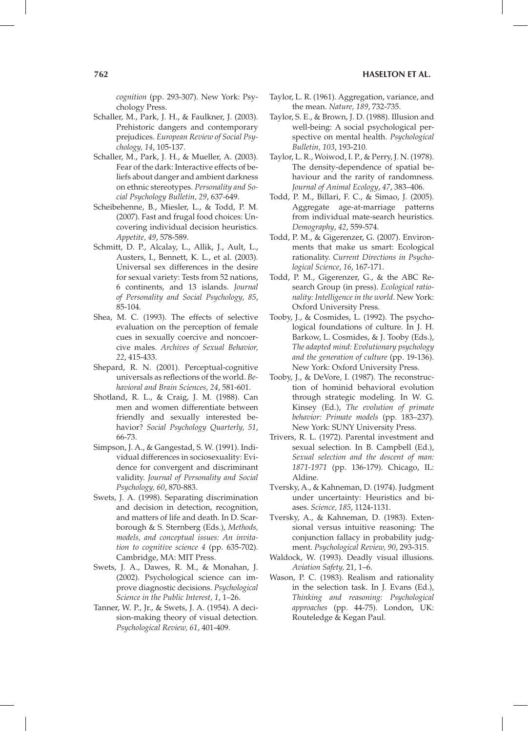### **762 HASELTON ET AL.**

*cognition* (pp. 293-307). New York: Psychology Press.

- Schaller, M., Park, J. H., & Faulkner, J. (2003). Prehistoric dangers and contemporary prejudices. *European Review of Social Psychology, 14*, 105-137.
- Schaller, M., Park, J. H., & Mueller, A. (2003). Fear of the dark: Interactive effects of beliefs about danger and ambient darkness on ethnic stereotypes. *Personality and Social Psychology Bulletin, 29*, 637-649.
- Scheibehenne, B., Miesler, L., & Todd, P. M. (2007). Fast and frugal food choices: Uncovering individual decision heuristics. *Appetite, 49*, 578-589.
- Schmitt, D. P., Alcalay, L., Allik, J., Ault, L., Austers, I., Bennett, K. L., et al. (2003). Universal sex differences in the desire for sexual variety: Tests from 52 nations, 6 continents, and 13 islands. *Journal of Personality and Social Psychology, 85*, 85-104.
- Shea, M. C. (1993). The effects of selective evaluation on the perception of female cues in sexually coercive and noncoercive males. *Archives of Sexual Behavior, 22*, 415-433.
- Shepard, R. N. (2001). Perceptual-cognitive universals as reflections of the world. *Behavioral and Brain Sciences, 24*, 581-601.
- Shotland, R. L., & Craig, J. M. (1988). Can men and women differentiate between friendly and sexually interested behavior? *Social Psychology Quarterly, 51*, 66-73.
- Simpson, J. A., & Gangestad, S. W. (1991). Individual differences in sociosexuality: Evidence for convergent and discriminant validity. *Journal of Personality and Social Psychology, 60*, 870-883.
- Swets, J. A. (1998). Separating discrimination and decision in detection, recognition, and matters of life and death. In D. Scarborough & S. Sternberg (Eds.), *Methods, models, and conceptual issues: An invitation to cognitive science 4* (pp. 635-702). Cambridge, MA: MIT Press.
- Swets, J. A., Dawes, R. M., & Monahan, J. (2002). Psychological science can improve diagnostic decisions. *Psychological Science in the Public Interest, 1*, 1–26.
- Tanner, W. P., Jr., & Swets, J. A. (1954). A decision-making theory of visual detection. *Psychological Review, 61*, 401-409.
- Taylor, L. R. (1961). Aggregation, variance, and the mean. *Nature, 189*, 732-735.
- Taylor, S. E., & Brown, J. D. (1988). Illusion and well-being: A social psychological perspective on mental health. *Psychological Bulletin, 103*, 193-210.
- Taylor, L. R., Woiwod, I. P., & Perry, J. N. (1978). The density-dependence of spatial behaviour and the rarity of randomness. *Journal of Animal Ecology*, *47*, 383–406.
- Todd, P. M., Billari, F. C., & Simao, J. (2005). Aggregate age-at-marriage patterns from individual mate-search heuristics. *Demography*, *42*, 559-574.
- Todd, P. M., & Gigerenzer, G. (2007). Environments that make us smart: Ecological rationality. *Current Directions in Psychological Science*, *16*, 167-171.
- Todd, P. M., Gigerenzer, G., & the ABC Research Group (in press). *Ecological rationality: Intelligence in the world*. New York: Oxford University Press.
- Tooby, J., & Cosmides, L. (1992). The psychological foundations of culture. In J. H. Barkow, L. Cosmides, & J. Tooby (Eds.), *The adapted mind: Evolutionary psychology and the generation of culture* (pp. 19-136). New York: Oxford University Press.
- Tooby, J., & DeVore, I. (1987). The reconstruction of hominid behavioral evolution through strategic modeling. In W. G. Kinsey (Ed.), *The evolution of primate behavior: Primate models* (pp. 183–237). New York: SUNY University Press.
- Trivers, R. L. (1972). Parental investment and sexual selection. In B. Campbell (Ed.), *Sexual selection and the descent of man: 1871-1971* (pp. 136-179). Chicago, IL: Aldine.
- Tversky, A., & Kahneman, D. (1974). Judgment under uncertainty: Heuristics and biases. *Science, 185*, 1124-1131.
- Tversky, A., & Kahneman, D. (1983). Extensional versus intuitive reasoning: The conjunction fallacy in probability judgment. *Psychological Review, 90*, 293-315.
- Waldock, W. (1993). Deadly visual illusions. *Aviation Safety,* 21, 1–6.
- Wason, P. C. (1983). Realism and rationality in the selection task. In J. Evans (Ed.), *Thinking and reasoning: Psychological approaches* (pp. 44-75). London, UK: Routeledge & Kegan Paul.